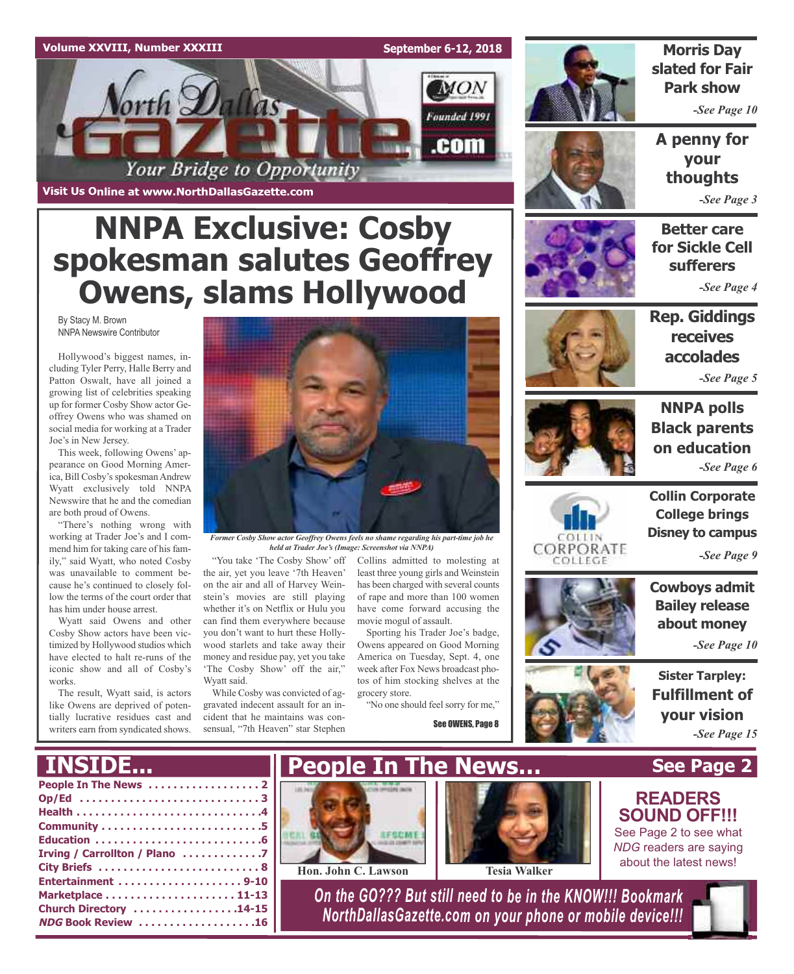

**Visit Us Online at www.NorthDallasGazette.com**

# **NNPA Exclusive: Cosby spokesman salutes Geoffrey Owens, slams Hollywood**

By Stacy M. Brown NNPA Newswire Contributor

Hollywood's biggest names, including Tyler Perry, Halle Berry and Patton Oswalt, have all joined a growing list of celebrities speaking up for former Cosby Show actor Geoffrey Owens who was shamed on social media for working at a Trader Joe's in New Jersey.

This week, following Owens' appearance on Good Morning America, Bill Cosby's spokesman Andrew Wyatt exclusively told NNPA Newswire that he and the comedian are both proud of Owens.

"There's nothing wrong with working at Trader Joe's and I commend him for taking care of his family," said Wyatt, who noted Cosby was unavailable to comment because he's continued to closely follow the terms of the court order that has him under house arrest.

Wyatt said Owens and other Cosby Show actors have been victimized by Hollywood studios which have elected to halt re-runs of the iconic show and all of Cosby's works.

The result, Wyatt said, is actors like Owens are deprived of potentially lucrative residues cast and writers earn from syndicated shows.

**INSIDE...**



*Former Cosby Show actor Geoffrey Owens feels no shame regarding his part-time job he held at Trader Joe's (Image: Screenshot via NNPA)*

the air, yet you leave '7th Heaven' on the air and all of Harvey Weinstein's movies are still playing whether it's on Netflix or Hulu you can find them everywhere because you don't want to hurt these Hollywood starlets and take away their money and residue pay, yet you take 'The Cosby Show' off the air," Wyatt said.

While Cosby was convicted of aggravated indecent assault for an incident that he maintains was con-

sensual, "7th Heaven" star Stephen

"You take 'The Cosby Show' off Collins admitted to molesting at least three young girls and Weinstein has been charged with several counts of rape and more than 100 women have come forward accusing the movie mogul of assault.

Sporting his Trader Joe's badge, Owens appeared on Good Morning America on Tuesday, Sept. 4, one week after Fox News broadcast photos of him stocking shelves at the grocery store.

"No one should feel sorry for me,"

See OWENS, Page 8



### **Morris Day slated for Fair Park show**

*-See Page 10*

**A penny for your thoughts** *-See Page 3*







*-See Page 5*



CORPORATE COLLEGE

**NNPA polls Black parents on education** *-See Page 6*

**Collin Corporate College brings Disney to campus**

*-See Page 9*

**Cowboys admit Bailey release about money**

*-See Page 10*

**Sister Tarpley: Fulfillment of your vision** *-See Page 15*

**See Page 2**

**READERS SOUND OFF!!!** See Page 2 to see what *NDG* readers are saying about the latest news!







*On the GO??? But still need to be in the KNOW!!! Bookmark NorthDallasGazette.com on your phone or mobile device!!!*

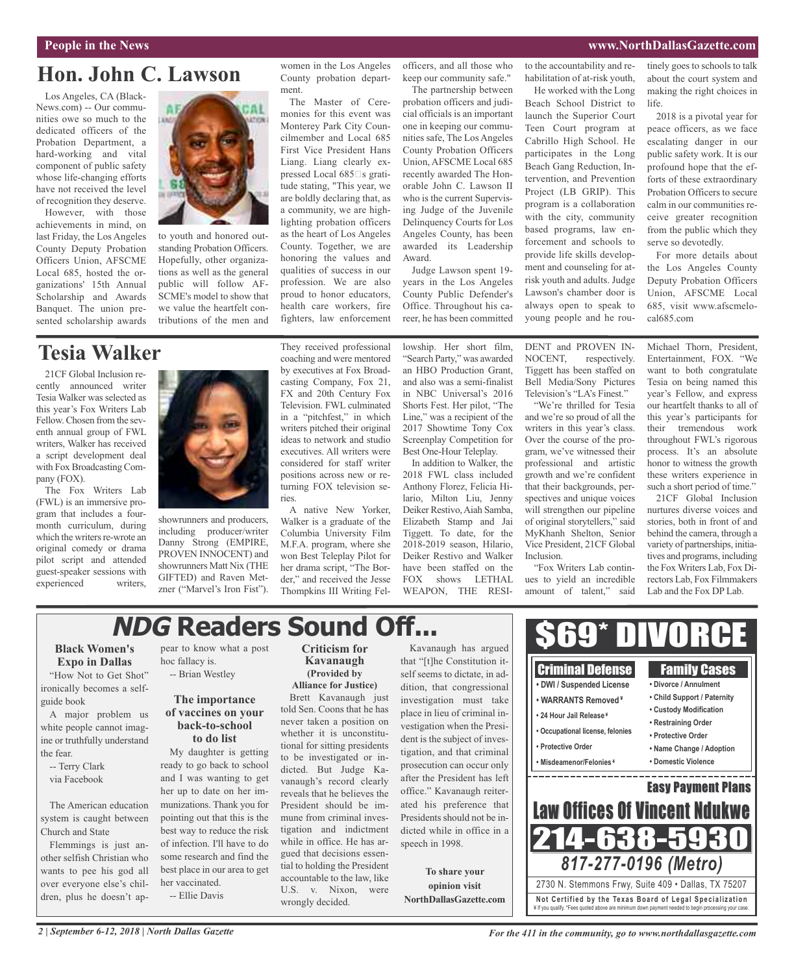### **People in the News www.NorthDallasGazette.com**

## **Hon. John C. Lawson**

Los Angeles, CA (Black-News.com) -- Our communities owe so much to the dedicated officers of the Probation Department, a hard-working and vital component of public safety whose life-changing efforts have not received the level of recognition they deserve.

However, with those achievements in mind, on last Friday, the Los Angeles County Deputy Probation Officers Union, AFSCME Local 685, hosted the organizations' 15th Annual Scholarship and Awards Banquet. The union presented scholarship awards



to youth and honored outstanding Probation Officers. Hopefully, other organizations as well as the general public will follow AF-SCME's model to show that we value the heartfelt contributions of the men and women in the Los Angeles County probation department.

The Master of Ceremonies for this event was Monterey Park City Councilmember and Local 685 First Vice President Hans Liang. Liang clearly expressed Local  $685\square s$  gratitude stating, "This year, we are boldly declaring that, as a community, we are highlighting probation officers as the heart of Los Angeles County. Together, we are honoring the values and qualities of success in our profession. We are also proud to honor educators, health care workers, fire fighters, law enforcement

officers, and all those who keep our community safe."

The partnership between probation officers and judicial officials is an important one in keeping our communities safe, The Los Angeles County Probation Officers Union, AFSCME Local 685 recently awarded The Honorable John C. Lawson II who is the current Supervising Judge of the Juvenile Delinquency Courts for Los Angeles County, has been awarded its Leadership Award.

Judge Lawson spent 19 years in the Los Angeles County Public Defender's Office. Throughout his career, he has been committed

to the accountability and rehabilitation of at-risk youth, He worked with the Long Beach School District to launch the Superior Court Teen Court program at Cabrillo High School. He participates in the Long Beach Gang Reduction, Intervention, and Prevention Project (LB GRIP). This program is a collaboration with the city, community based programs, law enforcement and schools to provide life skills development and counseling for atrisk youth and adults. Judge Lawson's chamber door is always open to speak to young people and he routinely goes to schools to talk about the court system and making the right choices in life.

2018 is a pivotal year for peace officers, as we face escalating danger in our public safety work. It is our profound hope that the efforts of these extraordinary Probation Officers to secure calm in our communities receive greater recognition from the public which they serve so devotedly.

For more details about the Los Angeles County Deputy Probation Officers Union, AFSCME Local 685, visit www.afscmelocal685.com

### **Tesia Walker**

21CF Global Inclusion recently announced writer Tesia Walker was selected as this year's Fox Writers Lab Fellow. Chosen from the seventh annual group of FWL writers, Walker has received a script development deal with Fox Broadcasting Company (FOX).

The Fox Writers Lab (FWL) is an immersive program that includes a fourmonth curriculum, during which the writers re-wrote an original comedy or drama pilot script and attended guest-speaker sessions with experienced writers,



showrunners and producers, including producer/writer Danny Strong (EMPIRE, PROVEN INNOCENT) and showrunners Matt Nix (THE GIFTED) and Raven Metzner ("Marvel's Iron Fist"). They received professional coaching and were mentored by executives at Fox Broadcasting Company, Fox 21, FX and 20th Century Fox Television. FWL culminated in a "pitchfest," in which writers pitched their original ideas to network and studio executives. All writers were considered for staff writer positions across new or returning FOX television series.

A native New Yorker, Walker is a graduate of the Columbia University Film M.F.A. program, where she won Best Teleplay Pilot for her drama script, "The Border," and received the Jesse Thompkins III Writing Fellowship. Her short film, "Search Party," was awarded an HBO Production Grant, and also was a semi-finalist in NBC Universal's 2016 Shorts Fest. Her pilot, "The Line," was a recipient of the 2017 Showtime Tony Cox Screenplay Competition for Best One-Hour Teleplay.

In addition to Walker, the 2018 FWL class included Anthony Florez, Felicia Hilario, Milton Liu, Jenny Deiker Restivo,Aiah Samba, Elizabeth Stamp and Jai Tiggett. To date, for the 2018-2019 season, Hilario, Deiker Restivo and Walker have been staffed on the FOX shows LETHAL WEAPON, THE RESI-

DENT and PROVEN IN-NOCENT, respectively. Tiggett has been staffed on Bell Media/Sony Pictures Television's "LA's Finest."

"We're thrilled for Tesia and we're so proud of all the writers in this year's class. Over the course of the program, we've witnessed their professional and artistic growth and we're confident that their backgrounds, perspectives and unique voices will strengthen our pipeline of original storytellers," said MyKhanh Shelton, Senior Vice President, 21CF Global Inclusion.

"Fox Writers Lab continues to yield an incredible amount of talent," said

Michael Thorn, President, Entertainment, FOX. "We want to both congratulate Tesia on being named this year's Fellow, and express our heartfelt thanks to all of this year's participants for their tremendous work throughout FWL's rigorous process. It's an absolute honor to witness the growth these writers experience in such a short period of time."

21CF Global Inclusion nurtures diverse voices and stories, both in front of and behind the camera, through a variety of partnerships, initiatives and programs, including the Fox Writers Lab, Fox Directors Lab, Fox Filmmakers Lab and the Fox DP Lab.

## **NDG Readers Sound Off...**

### **Black Women's Expo in Dallas**

"How Not to Get Shot" ironically becomes a selfguide book

A major problem us white people cannot imagine or truthfully understand the fear.

-- Terry Clark via Facebook

The American education system is caught between Church and State

Flemmings is just another selfish Christian who wants to pee his god all over everyone else's children, plus he doesn't appear to know what a post hoc fallacy is. -- Brian Westley

### **The importance of vaccines on your back-to-school to do list**

My daughter is getting ready to go back to school and I was wanting to get her up to date on her immunizations. Thank you for pointing out that this is the best way to reduce the risk of infection. I'll have to do some research and find the best place in our area to get her vaccinated. -- Ellie Davis

**Criticism for Kavanaugh (Provided by Alliance for Justice)**

Brett Kavanaugh just told Sen. Coons that he has never taken a position on whether it is unconstitutional for sitting presidents to be investigated or indicted. But Judge Kavanaugh's record clearly reveals that he believes the President should be immune from criminal investigation and indictment while in office. He has argued that decisions essential to holding the President accountable to the law, like U.S. v. Nixon, were wrongly decided.

Kavanaugh has argued that "[t]he Constitution itself seems to dictate, in addition, that congressional investigation must take place in lieu of criminal investigation when the President is the subject of investigation, and that criminal prosecution can occur only after the President has left office." Kavanaugh reiterated his preference that Presidents should not be indicted while in office in a speech in 1998.

**To share your opinion visit NorthDallasGazette.com**



\$69\* DIVORCE

*For the 411 in the community, go to www.northdallasgazette.com*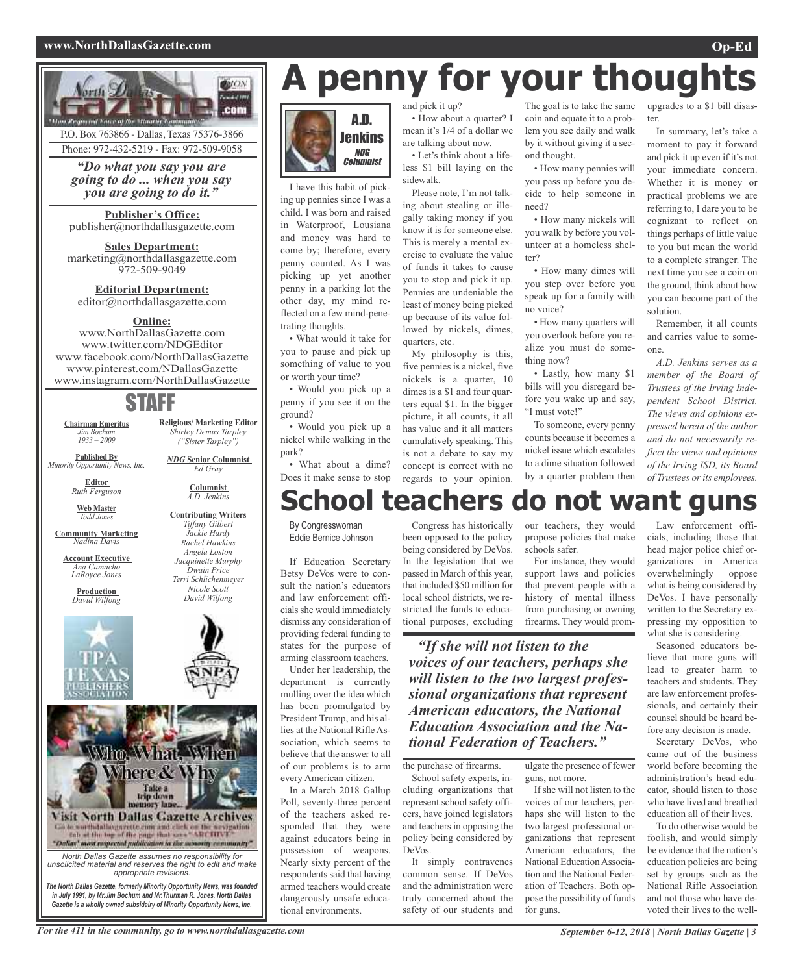### **www.NorthDallasGazette.com Op-Ed**



P.O. Box 763866 - Dallas, Texas 75376-3866 Phone: 972-432-5219 - Fax: 972-509-9058

*"Do what you say you are going to do ... when you say you are going to do it."*

**Publisher's Office:** publisher@northdallasgazette.com

**Sales Department:** marketing@northdallasgazette.com 972-509-9049

### **Editorial Department:** editor@northdallasgazette.com

### **Online:**

www.NorthDallasGazette.com www.twitter.com/NDGEditor www.facebook.com/NorthDallasGazette www.pinterest.com/NDallasGazette www.instagram.com/NorthDallasGazette

### STAFF

**Religious/ Marketing Editor** *Shirley Demus Tarpley ("Sister Tarpley") NDG* **Senior Columnist** *Ed Gray* **Columnist** *A.D. Jenkins* **Contributing Writers** *Tiffany Gilbert Jackie Hardy Rachel Hawkins Angela Loston Jacquinette Murphy Dwain Price Terri Schlichenmeyer Nicole Scott David Wilfong*

**Chairman Emeritus** *Jim Bochum 1933 – 2009*

**Published By** *Minority Opportunity News, Inc.*

> **Editor** *Ruth Ferguson*

**Web Master** *Todd Jones*

**Community Marketing** *Nadina Davis*

**Account Executive** *Ana Camacho LaRoyce Jones*

**Production** *David Wilfong*





*Gazette is a wholly owned subsidairy of Minority Opportunity News, Inc.*

# **A penny for your thoughts**



I have this habit of picking up pennies since I was a child. I was born and raised in Waterproof, Lousiana and money was hard to come by; therefore, every penny counted. As I was picking up yet another penny in a parking lot the other day, my mind reflected on a few mind-penetrating thoughts.

• What would it take for you to pause and pick up something of value to you or worth your time?

• Would you pick up a penny if you see it on the ground?

• Would you pick up a nickel while walking in the park?

• What about a dime? Does it make sense to stop and pick it up?

• How about a quarter? I mean it's 1/4 of a dollar we are talking about now.

• Let's think about a lifeless \$1 bill laying on the sidewalk.

Please note, I'm not talking about stealing or illegally taking money if you know it is for someone else. This is merely a mental exercise to evaluate the value of funds it takes to cause you to stop and pick it up. Pennies are undeniable the least of money being picked up because of its value followed by nickels, dimes, quarters, etc.

My philosophy is this, five pennies is a nickel, five nickels is a quarter, 10 dimes is a \$1 and four quarters equal \$1. In the bigger picture, it all counts, it all has value and it all matters cumulatively speaking. This is not a debate to say my concept is correct with no regards to your opinion.

The goal is to take the same coin and equate it to a problem you see daily and walk by it without giving it a second thought.

• How many pennies will you pass up before you decide to help someone in need?

• How many nickels will you walk by before you volunteer at a homeless shelter?

• How many dimes will you step over before you speak up for a family with no voice?

• How many quarters will you overlook before you realize you must do something now?

• Lastly, how many \$1 bills will you disregard before you wake up and say, "I must vote!"

To someone, every penny counts because it becomes a nickel issue which escalates to a dime situation followed by a quarter problem then

upgrades to a \$1 bill disaster.

In summary, let's take a moment to pay it forward and pick it up even if it's not your immediate concern. Whether it is money or practical problems we are referring to, I dare you to be cognizant to reflect on things perhaps of little value to you but mean the world to a complete stranger. The next time you see a coin on the ground, think about how you can become part of the solution.

Remember, it all counts and carries value to someone.

*A.D. Jenkins serves as a member of the Board of Trustees of the Irving Independent School District. The views and opinions expressed herein of the author and do not necessarily reflect the views and opinions of the Irving ISD, its Board of Trustees or its employees.*

## **School teachers do not want guns**

By Congresswoman Eddie Bernice Johnson

If Education Secretary Betsy DeVos were to consult the nation's educators and law enforcement officials she would immediately dismiss any consideration of providing federal funding to states for the purpose of arming classroom teachers.

Under her leadership, the department is currently mulling over the idea which has been promulgated by President Trump, and his allies at the National RifleAssociation, which seems to believe that the answer to all of our problems is to arm every American citizen.

In a March 2018 Gallup Poll, seventy-three percent of the teachers asked responded that they were against educators being in possession of weapons. Nearly sixty percent of the respondents said that having armed teachers would create dangerously unsafe educational environments.

Congress has historically been opposed to the policy being considered by DeVos. In the legislation that we passed in March of this year, that included \$50 million for local school districts, we restricted the funds to educational purposes, excluding

our teachers, they would propose policies that make schools safer.

For instance, they would support laws and policies that prevent people with a history of mental illness from purchasing or owning firearms. They would prom-

*"If she will not listen to the voices of our teachers, perhaps she will listen to the two largest professional organizations that represent American educators, the National Education Association and the National Federation of Teachers."*

the purchase of firearms.

School safety experts, including organizations that represent school safety officers, have joined legislators and teachers in opposing the policy being considered by DeVos.

It simply contravenes common sense. If DeVos and the administration were truly concerned about the safety of our students and

ulgate the presence of fewer guns, not more.

If she will not listen to the voices of our teachers, perhaps she will listen to the two largest professional organizations that represent American educators, the National Education Association and the National Federation of Teachers. Both oppose the possibility of funds for guns.

Law enforcement officials, including those that head major police chief organizations in America overwhelmingly oppose what is being considered by DeVos. I have personally written to the Secretary expressing my opposition to what she is considering.

Seasoned educators believe that more guns will lead to greater harm to teachers and students. They are law enforcement professionals, and certainly their counsel should be heard before any decision is made.

Secretary DeVos, who came out of the business world before becoming the administration's head educator, should listen to those who have lived and breathed education all of their lives.

To do otherwise would be foolish, and would simply be evidence that the nation's education policies are being set by groups such as the National Rifle Association and not those who have devoted their lives to the well-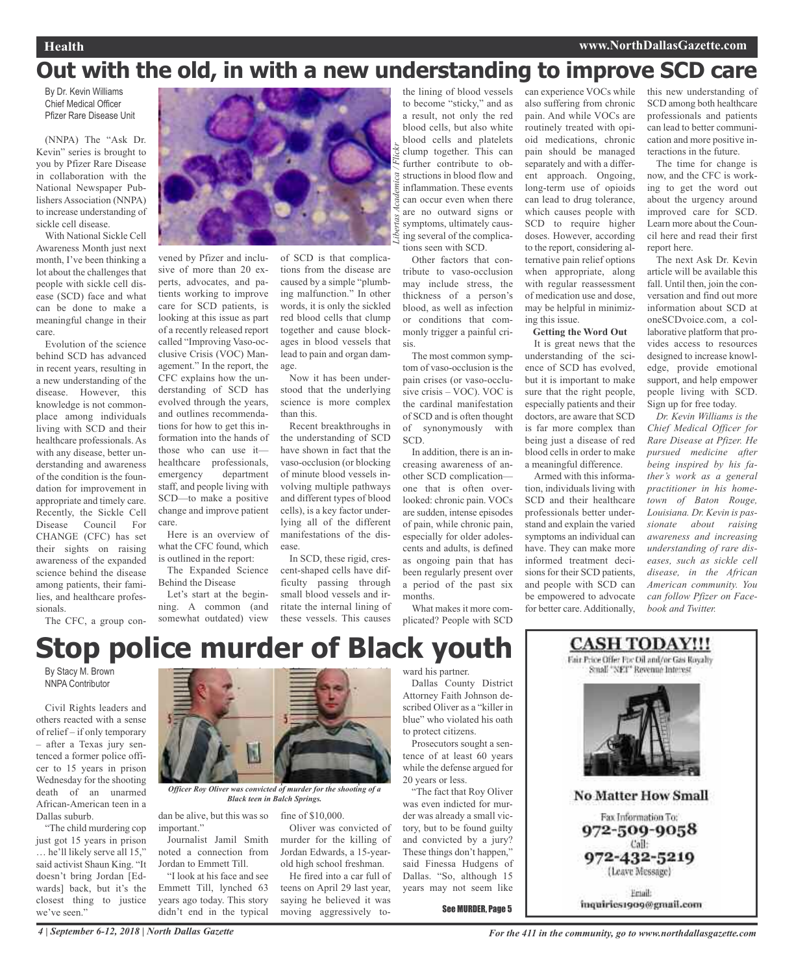### **Health www.NorthDallasGazette.com**

## **Out with the old, in with a new understanding to improve SCD care**

*Libertas Academica / Flickr*

By Dr. Kevin Williams Chief Medical Officer Pfizer Rare Disease Unit

(NNPA) The "Ask Dr. Kevin" series is brought to you by Pfizer Rare Disease in collaboration with the National Newspaper Publishers Association (NNPA) to increase understanding of sickle cell disease.

With National Sickle Cell Awareness Month just next month, I've been thinking a lot about the challenges that people with sickle cell disease (SCD) face and what can be done to make a meaningful change in their care.

Evolution of the science behind SCD has advanced in recent years, resulting in a new understanding of the disease. However, this knowledge is not commonplace among individuals living with SCD and their healthcare professionals. As with any disease, better understanding and awareness of the condition is the foundation for improvement in appropriate and timely care. Recently, the Sickle Cell Disease Council For CHANGE (CFC) has set their sights on raising awareness of the expanded science behind the disease among patients, their families, and healthcare professionals.

The CFC, a group con-



vened by Pfizer and inclusive of more than 20 experts, advocates, and patients working to improve care for SCD patients, is looking at this issue as part of a recently released report called "Improving Vaso-occlusive Crisis (VOC) Management." In the report, the CFC explains how the understanding of SCD has evolved through the years, and outlines recommendations for how to get this information into the hands of those who can use it healthcare professionals, emergency department staff, and people living with SCD—to make a positive change and improve patient care.

Here is an overview of what the CFC found, which is outlined in the report:

The Expanded Science Behind the Disease

Let's start at the beginning. A common (and somewhat outdated) view of SCD is that complications from the disease are caused by a simple "plumbing malfunction." In other words, it is only the sickled red blood cells that clump together and cause blockages in blood vessels that lead to pain and organ damage.

Now it has been understood that the underlying science is more complex than this. Recent breakthroughs in

the understanding of SCD have shown in fact that the vaso-occlusion (or blocking of minute blood vessels involving multiple pathways and different types of blood cells), is a key factor underlying all of the different manifestations of the disease.

In SCD, these rigid, crescent-shaped cells have difficulty passing through small blood vessels and irritate the internal lining of these vessels. This causes

Oliver was convicted of

teens on April 29 last year, saying he believed it was moving aggressively tothe lining of blood vessels to become "sticky," and as a result, not only the red blood cells, but also white blood cells and platelets clump together. This can further contribute to obstructions in blood flow and inflammation. These events can occur even when there are no outward signs or symptoms, ultimately causing several of the complications seen with SCD.

Other factors that contribute to vaso-occlusion may include stress, the thickness of a person's blood, as well as infection or conditions that commonly trigger a painful crisis.

The most common symptom of vaso-occlusion is the pain crises (or vaso-occlusive crisis – VOC). VOC is the cardinal manifestation of SCD and is often thought of synonymously with SCD.

In addition, there is an increasing awareness of another SCD complication one that is often overlooked: chronic pain. VOCs are sudden, intense episodes of pain, while chronic pain, especially for older adolescents and adults, is defined as ongoing pain that has been regularly present over a period of the past six months.

What makes it more complicated? People with SCD

can experience VOCs while also suffering from chronic pain. And while VOCs are routinely treated with opioid medications, chronic pain should be managed separately and with a different approach. Ongoing, long-term use of opioids can lead to drug tolerance, which causes people with SCD to require higher doses. However, according to the report, considering alternative pain relief options when appropriate, along with regular reassessment of medication use and dose, may be helpful in minimizing this issue.

**Getting the Word Out**

It is great news that the understanding of the science of SCD has evolved, but it is important to make sure that the right people, especially patients and their doctors, are aware that SCD is far more complex than being just a disease of red blood cells in order to make a meaningful difference.

Armed with this information, individuals living with SCD and their healthcare professionals better understand and explain the varied symptoms an individual can have. They can make more informed treatment decisions for their SCD patients, and people with SCD can be empowered to advocate for better care. Additionally,

this new understanding of SCD among both healthcare professionals and patients can lead to better communication and more positive interactions in the future.

The time for change is now, and the CFC is working to get the word out about the urgency around improved care for SCD. Learn more about the Council here and read their first report here.

The next Ask Dr. Kevin article will be available this fall. Until then, join the conversation and find out more information about SCD at oneSCDvoice.com, a collaborative platform that provides access to resources designed to increase knowledge, provide emotional support, and help empower people living with SCD. Sign up for free today.

*Dr. Kevin Williams is the Chief Medical Officer for Rare Disease at Pfizer. He pursued medicine after being inspired by his father's work as a general practitioner in his hometown of Baton Rouge, Louisiana. Dr. Kevin is passionate about raising awareness and increasing understanding of rare diseases, such as sickle cell disease, in the African American community. You can follow Pfizer on Facebook and Twitter.*

## **Stop police murder of Black youth**

By Stacy M. Brown NNPA Contributor

Civil Rights leaders and others reacted with a sense of relief – if only temporary – after a Texas jury sentenced a former police officer to 15 years in prison Wednesday for the shooting death of an unarmed African-American teen in a Dallas suburb.

"The child murdering cop just got 15 years in prison … he'll likely serve all 15," said activist Shaun King. "It doesn't bring Jordan [Edwards] back, but it's the closest thing to justice we've seen."



*Officer Roy Oliver was convicted of murder for the shooting of a Black teen in Balch Springs.*

dan be alive, but this was so fine of \$10,000. important."

Journalist Jamil Smith noted a connection from Jordan to Emmett Till. murder for the killing of Jordan Edwards, a 15-yearold high school freshman. He fired into a car full of

"I look at his face and see Emmett Till, lynched 63 years ago today. This story didn't end in the typical ward his partner.

Dallas County District Attorney Faith Johnson described Oliver as a "killer in blue" who violated his oath to protect citizens.

Prosecutors sought a sentence of at least 60 years while the defense argued for 20 years or less.

"The fact that Roy Oliver was even indicted for murder was already a small victory, but to be found guilty and convicted by a jury? These things don't happen," said Finessa Hudgens of Dallas. "So, although 15 years may not seem like

See MURDER, Page 5

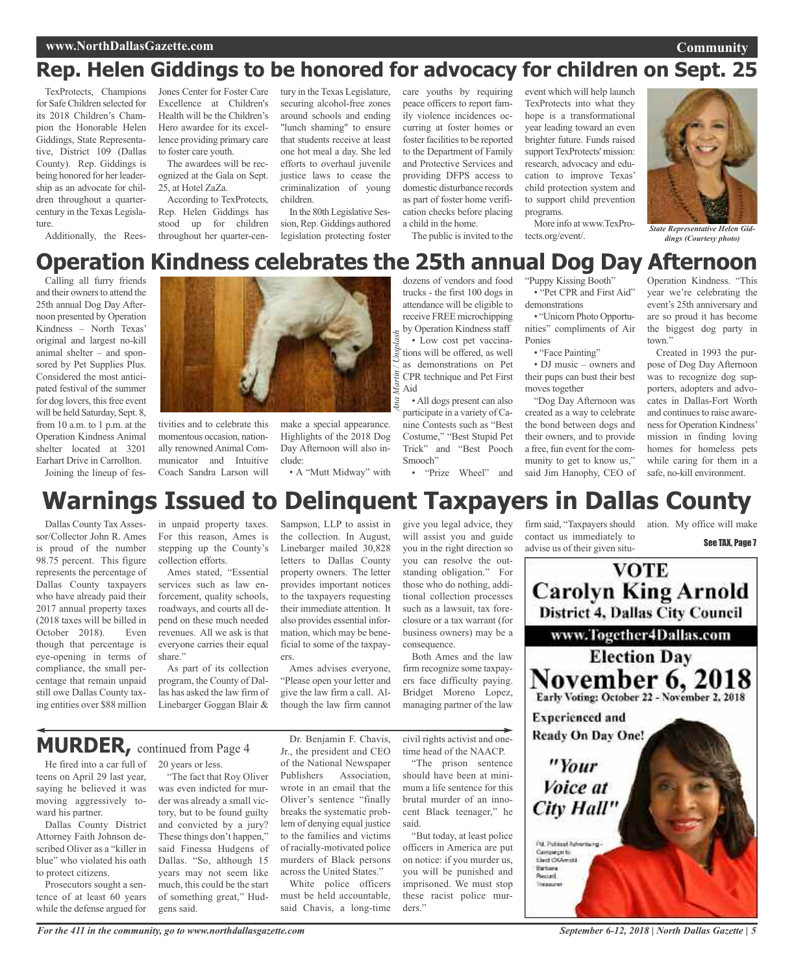### **www.NorthDallasGazette.com**

### **Community**

## **Rep. Helen Giddings to be honored for advocacy for children on Sept. 25**

TexProtects, Champions for Safe Children selected for its 2018 Children's Champion the Honorable Helen Giddings, State Representative, District 109 (Dallas County). Rep. Giddings is being honored for her leadership as an advocate for children throughout a quartercentury in the Texas Legislature.

Additionally, the Rees-

Jones Center for Foster Care Excellence at Children's Health will be the Children's Hero awardee for its excellence providing primary care to foster care youth.

The awardees will be recognized at the Gala on Sept. 25, at Hotel ZaZa. According to TexProtects,

Rep. Helen Giddings has stood up for children throughout her quarter-century in the Texas Legislature, securing alcohol-free zones around schools and ending "lunch shaming" to ensure that students receive at least one hot meal a day. She led efforts to overhaul juvenile justice laws to cease the criminalization of young children.

In the 80th Legislative Session, Rep. Giddings authored legislation protecting foster care youths by requiring peace officers to report family violence incidences occurring at foster homes or foster facilities to be reported to the Department of Family and Protective Services and providing DFPS access to domestic disturbance records as part of foster home verification checks before placing a child in the home.

The public is invited to the

event which will help launch TexProtects into what they hope is a transformational year leading toward an even brighter future. Funds raised support TexProtects' mission: research, advocacy and education to improve Texas' child protection system and to support child prevention programs.

More info at www.TexPro**state Representative Helen Gid-<br>** *State Representative Helen Gid-***<br>** *dinos (Courtesy photo)* 



*dings (Courtesy photo)*

### **Operation Kindness celebrates the 25th annual Dog Day Afternoon** dozens of vendors and food

Calling all furry friends and their owners to attend the 25th annual Dog Day Afternoon presented by Operation Kindness – North Texas' original and largest no-kill animal shelter – and sponsored by Pet Supplies Plus. Considered the most anticipated festival of the summer for dog lovers, this free event will be held Saturday, Sept. 8, from 10 a.m. to 1 p.m. at the Operation Kindness Animal shelter located at 3201 Earhart Drive in Carrollton. Joining the lineup of fes-



tivities and to celebrate this momentous occasion, nationally renowned Animal Communicator and Intuitive Coach Sandra Larson will

make a special appearance. Highlights of the 2018 Dog Day Afternoon will also include:

• A "Mutt Midway" with

*Ana Martin / Unsplash* trucks - the first 100 dogs in attendance will be eligible to receive FREE microchipping by Operation Kindness staff • Low cost pet vaccinations will be offered, as well as demonstrations on Pet CPR technique and Pet First Aid • All dogs present can also

participate in a variety of Canine Contests such as "Best Costume," "Best Stupid Pet Trick" and "Best Pooch Smooch"

• "Prize Wheel" and

"Puppy Kissing Booth" • "Pet CPR and First Aid" demonstrations

• "Unicorn Photo Opportunities" compliments of Air Ponies

• "Face Painting"

• DJ music – owners and their pups can bust their best moves together

"Dog Day Afternoon was created as a way to celebrate the bond between dogs and their owners, and to provide a free, fun event for the community to get to know us," said Jim Hanophy, CEO of

Operation Kindness. "This year we're celebrating the event's 25th anniversary and are so proud it has become the biggest dog party in town."

Created in 1993 the purpose of Dog Day Afternoon was to recognize dog supporters, adopters and advocates in Dallas-Fort Worth and continues to raise awareness for Operation Kindness' mission in finding loving homes for homeless pets while caring for them in a safe, no-kill environment.

## **Warnings Issued to Delinquent Taxpayers in Dallas County**

Dallas County Tax Assessor/Collector John R. Ames is proud of the number 98.75 percent. This figure represents the percentage of Dallas County taxpayers who have already paid their 2017 annual property taxes (2018 taxes will be billed in October 2018). Even though that percentage is eye-opening in terms of compliance, the small percentage that remain unpaid still owe Dallas County taxing entities over \$88 million

in unpaid property taxes. For this reason, Ames is stepping up the County's collection efforts.

Ames stated, "Essential services such as law enforcement, quality schools, roadways, and courts all depend on these much needed revenues. All we ask is that everyone carries their equal share."

As part of its collection program, the County of Dallas has asked the law firm of Linebarger Goggan Blair &

Sampson, LLP to assist in the collection. In August, Linebarger mailed 30,828 letters to Dallas County property owners. The letter provides important notices to the taxpayers requesting their immediate attention. It also provides essential information, which may be beneficial to some of the taxpayers.

Ames advises everyone, "Please open your letter and give the law firm a call. Although the law firm cannot give you legal advice, they will assist you and guide you in the right direction so you can resolve the outstanding obligation." For those who do nothing, additional collection processes such as a lawsuit, tax foreclosure or a tax warrant (for business owners) may be a consequence. Both Ames and the law

firm recognize some taxpayers face difficulty paying. Bridget Moreno Lopez, managing partner of the law

### He fired into a car full of **MURDER,** continued from Page <sup>4</sup>

teens on April 29 last year, saying he believed it was moving aggressively toward his partner.

Dallas County District Attorney Faith Johnson described Oliver as a "killer in blue" who violated his oath to protect citizens.

Prosecutors sought a sentence of at least 60 years while the defense argued for

20 years or less.

"The fact that Roy Oliver was even indicted for murder was already a small victory, but to be found guilty and convicted by a jury? These things don't happen," said Finessa Hudgens of Dallas. "So, although 15 years may not seem like much, this could be the start of something great," Hudgens said.

Dr. Benjamin F. Chavis, Jr., the president and CEO of the National Newspaper Publishers Association, wrote in an email that the Oliver's sentence "finally breaks the systematic problem of denying equal justice to the families and victims of racially-motivated police murders of Black persons across the United States."

White police officers must be held accountable, said Chavis, a long-time civil rights activist and onetime head of the NAACP.

"The prison sentence should have been at minimum a life sentence for this brutal murder of an innocent Black teenager," he said.

"But today, at least police officers in America are put on notice: if you murder us, you will be punished and imprisoned. We must stop these racist police murders."

firm said, "Taxpayers should contact us immediately to advise us of their given situ-

ation. My office will make See TAX, Page 7

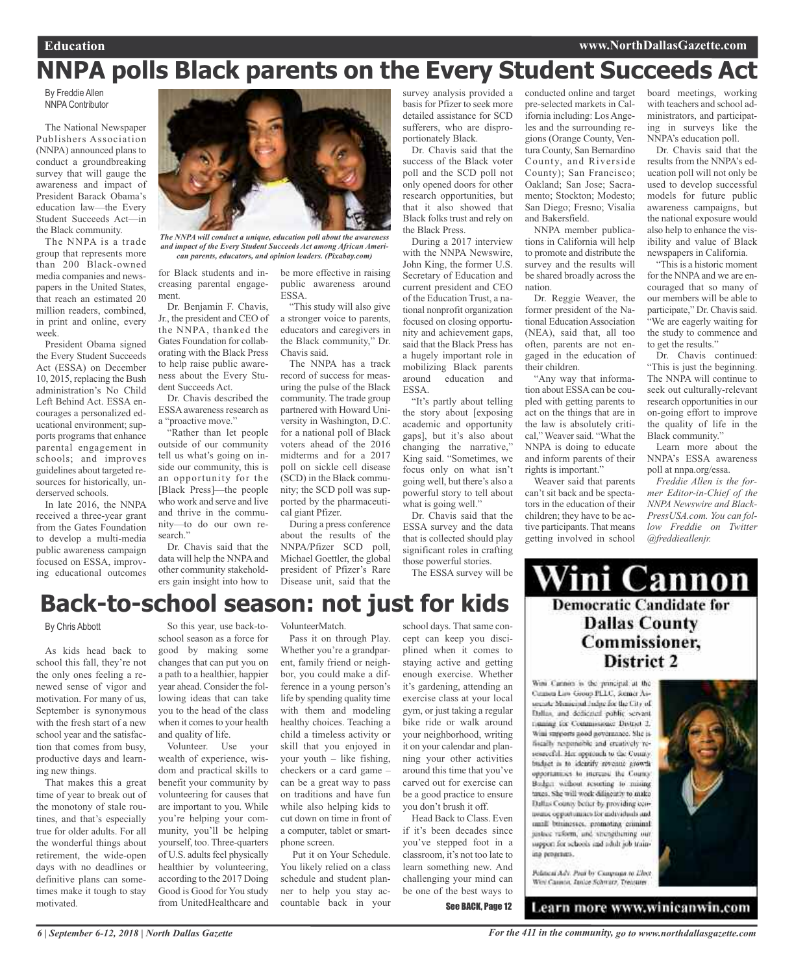## **NNPA polls Black parents on the Every Student Succeeds Act**

By Freddie Allen NNPA Contributor

The National Newspaper Publishers Association (NNPA) announced plans to conduct a groundbreaking survey that will gauge the awareness and impact of President Barack Obama's education law—the Every Student Succeeds Act—in the Black community.

The NNPA is a trade group that represents more than 200 Black-owned media companies and newspapers in the United States, that reach an estimated 20 million readers, combined, in print and online, every week.

President Obama signed the Every Student Succeeds Act (ESSA) on December 10, 2015, replacing the Bush administration's No Child Left Behind Act. ESSA encourages a personalized educational environment; supports programs that enhance parental engagement in schools; and improves guidelines about targeted resources for historically, underserved schools.

In late 2016, the NNPA received a three-year grant from the Gates Foundation to develop a multi-media public awareness campaign focused on ESSA, improving educational outcomes



*The NNPA will conduct a unique, education poll about the awareness and impact of the Every Student Succeeds Act among African American parents, educators, and opinion leaders. (Pixabay.com)*

creasing parental engagement.

Dr. Benjamin F. Chavis, Jr., the president and CEO of the NNPA, thanked the Gates Foundation for collaborating with the Black Press to help raise public awareness about the Every Student Succeeds Act.

Dr. Chavis described the ESSA awareness research as a "proactive move."

"Rather than let people outside of our community tell us what's going on inside our community, this is an opportunity for the [Black Press]—the people who work and serve and live and thrive in the community—to do our own research."

Dr. Chavis said that the data will help the NNPA and other community stakeholders gain insight into how to

for Black students and in-be more effective in raising public awareness around ESSA.

"This study will also give a stronger voice to parents, educators and caregivers in the Black community," Dr. Chavis said.

The NNPA has a track record of success for measuring the pulse of the Black community. The trade group partnered with Howard University in Washington, D.C. for a national poll of Black voters ahead of the 2016 midterms and for a 2017 poll on sickle cell disease (SCD) in the Black community; the SCD poll was supported by the pharmaceutical giant Pfizer.

During a press conference about the results of the NNPA/Pfizer SCD poll, Michael Goettler, the global president of Pfizer's Rare Disease unit, said that the

survey analysis provided a basis for Pfizer to seek more detailed assistance for SCD sufferers, who are disproportionately Black.

Dr. Chavis said that the success of the Black voter poll and the SCD poll not only opened doors for other research opportunities, but that it also showed that Black folks trust and rely on the Black Press.

During a 2017 interview with the NNPA Newswire, John King, the former U.S. Secretary of Education and current president and CEO of the Education Trust, a national nonprofit organization focused on closing opportunity and achievement gaps, said that the Black Press has a hugely important role in mobilizing Black parents around education and **ESSA**.

"It's partly about telling the story about [exposing academic and opportunity gaps], but it's also about changing the narrative," King said. "Sometimes, we focus only on what isn't going well, but there's also a powerful story to tell about what is going well."

Dr. Chavis said that the ESSA survey and the data that is collected should play significant roles in crafting those powerful stories.

The ESSA survey will be

conducted online and target pre-selected markets in California including: LosAngeles and the surrounding regions (Orange County, Ventura County, San Bernardino County, and Riverside County); San Francisco; Oakland; San Jose; Sacramento; Stockton; Modesto; San Diego; Fresno; Visalia and Bakersfield.

NNPA member publications in California will help to promote and distribute the survey and the results will be shared broadly across the nation.

Dr. Reggie Weaver, the former president of the National Education Association (NEA), said that, all too often, parents are not engaged in the education of their children.

"Any way that information about ESSA can be coupled with getting parents to act on the things that are in the law is absolutely critical," Weaver said. "What the NNPA is doing to educate and inform parents of their rights is important."

Weaver said that parents can't sit back and be spectators in the education of their children; they have to be active participants. That means getting involved in school

board meetings, working with teachers and school administrators, and participating in surveys like the NNPA's education poll.

Dr. Chavis said that the results from the NNPA's education poll will not only be used to develop successful models for future public awareness campaigns, but the national exposure would also help to enhance the visibility and value of Black newspapers in California.

"Thisis a historic moment for the NNPA and we are encouraged that so many of our members will be able to participate," Dr. Chavis said. "We are eagerly waiting for the study to commence and to get the results."

Dr. Chavis continued: "This is just the beginning. The NNPA will continue to seek out culturally-relevant research opportunities in our on-going effort to improve the quality of life in the Black community."

Learn more about the NNPA's ESSA awareness poll at nnpa.org/essa.

*Freddie Allen is the former Editor-in-Chief of the NNPA Newswire and Black-PressUSA.com. You can follow Freddie on Twitter @freddieallenjr.*

## **Back-to-school season: not just for kids**

### By Chris Abbott

As kids head back to school this fall, they're not the only ones feeling a renewed sense of vigor and motivation. For many of us, September is synonymous with the fresh start of a new school year and the satisfaction that comes from busy, productive days and learning new things.

That makes this a great time of year to break out of the monotony of stale routines, and that's especially true for older adults. For all the wonderful things about retirement, the wide-open days with no deadlines or definitive plans can sometimes make it tough to stay motivated.

So this year, use back-toschool season as a force for good by making some changes that can put you on a path to a healthier, happier year ahead. Consider the following ideas that can take you to the head of the class when it comes to your health and quality of life.

Volunteer. Use your wealth of experience, wisdom and practical skills to benefit your community by volunteering for causes that are important to you. While you're helping your community, you'll be helping yourself, too. Three-quarters of U.S. adults feel physically healthier by volunteering, according to the 2017 Doing Good is Good for You study from UnitedHealthcare and

VolunteerMatch.

Pass it on through Play. Whether you're a grandparent, family friend or neighbor, you could make a difference in a young person's life by spending quality time with them and modeling healthy choices. Teaching a child a timeless activity or skill that you enjoyed in your youth – like fishing, checkers or a card game – can be a great way to pass on traditions and have fun while also helping kids to cut down on time in front of a computer, tablet or smartphone screen.

Put it on Your Schedule. You likely relied on a class schedule and student planner to help you stay accountable back in your

school days. That same concept can keep you disciplined when it comes to staying active and getting enough exercise. Whether it's gardening, attending an exercise class at your local gym, or just taking a regular bike ride or walk around your neighborhood, writing it on your calendar and planning your other activities around this time that you've carved out for exercise can be a good practice to ensure you don't brush it off. Head Back to Class. Even

if it's been decades since you've stepped foot in a classroom, it's not too late to learn something new. And challenging your mind can be one of the best ways to

See BACK, Page 12

Vini Cannon **Democratic Candidate for Dallas County Commissioner,** District 2

Wint Carnon is the principal at the Cannon Law Group PLLC, Semer Associate Manicipal Judge for the City of Dallas, and dedicated public servant. maning for Commissioner District 2. Wini surports good governance. She isfiscally responsible and creatively resenrecht. Her opprench to the County. budget in to identify royeane growth opportunities to increase the County-Bodget without resorting to mising taxes. She will week dilinearly to make Dallas County befur by providing cennomic opportunities for individuals and small businesses, promoting criminal justice reform, and strengthening our support for schools and adult job training programs.

Pelitical Adv. Pacif by Campage to Elect Wey Cannot, Imige Schwarz, Treasurer

Learn more www.winicanwin.com

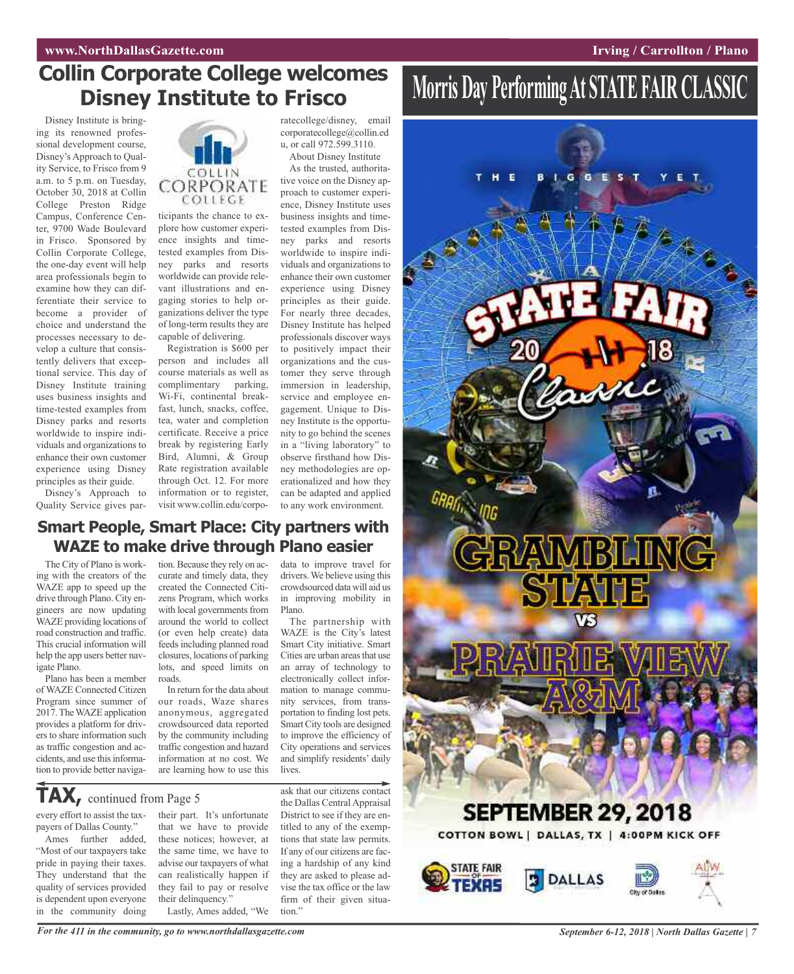## **Collin Corporate College welcomes Disney Institute to Frisco**

Disney Institute is bringing its renowned professional development course, Disney's Approach to Quality Service, to Frisco from 9 a.m. to 5 p.m. on Tuesday, October 30, 2018 at Collin College Preston Ridge Campus, Conference Center, 9700 Wade Boulevard in Frisco. Sponsored by Collin Corporate College, the one-day event will help area professionals begin to examine how they can differentiate their service to become a provider of choice and understand the processes necessary to develop a culture that consistently delivers that exceptional service. This day of Disney Institute training uses business insights and time-tested examples from Disney parks and resorts worldwide to inspire individuals and organizations to enhance their own customer experience using Disney principles as their guide.

Disney's Approach to Quality Service gives par-



ticipants the chance to explore how customer experience insights and timetested examples from Disney parks and resorts worldwide can provide relevant illustrations and engaging stories to help organizations deliver the type of long-term results they are capable of delivering.

Registration is \$600 per person and includes all course materials as well as complimentary parking, Wi-Fi, continental breakfast, lunch, snacks, coffee, tea, water and completion certificate. Receive a price break by registering Early Bird, Alumni, & Group Rate registration available through Oct. 12. For more information or to register, visit www.collin.edu/corporatecollege/disney, email corporatecollege@collin.ed u, or call 972.599.3110. About Disney Institute

As the trusted, authoritative voice on the Disney approach to customer experience, Disney Institute uses business insights and timetested examples from Disney parks and resorts worldwide to inspire individuals and organizations to enhance their own customer experience using Disney principles as their guide. For nearly three decades, Disney Institute has helped professionals discover ways to positively impact their organizations and the customer they serve through immersion in leadership, service and employee engagement. Unique to Disney Institute is the opportunity to go behind the scenes in a "living laboratory" to observe firsthand how Disney methodologies are operationalized and how they can be adapted and applied to any work environment.

data to improve travel for drivers.We believe using this crowdsourced data will aid us in improving mobility in

The partnership with WAZE is the City's latest Smart City initiative. Smart Cities are urban areas that use an array of technology to electronically collect information to manage community services, from transportation to finding lost pets. Smart City tools are designed to improve the efficiency of

Plano.

### **Smart People, Smart Place: City partners with WAZE to make drive through Plano easier**

The City of Plano is working with the creators of the WAZE app to speed up the drive through Plano. City engineers are now updating WAZE providing locations of road construction and traffic. This crucial information will help the app users better navigate Plano.

Plano has been a member of WAZE Connected Citizen Program since summer of 2017.TheWAZE application provides a platform for drivers to share information such as traffic congestion and accidents, and use this information to provide better navigation. Because they rely on accurate and timely data, they created the Connected Citizens Program, which works with local governments from around the world to collect (or even help create) data feeds including planned road closures, locations of parking lots, and speed limits on roads.

In return for the data about our roads, Waze shares anonymous, aggregated crowdsourced data reported by the community including traffic congestion and hazard information at no cost. We are learning how to use this

**TAX,** continued from Page <sup>5</sup>

every effort to assist the taxpayers of Dallas County."

Ames further added, "Most of our taxpayers take pride in paying their taxes. They understand that the quality of services provided is dependent upon everyone in the community doing

their part. It's unfortunate that we have to provide these notices; however, at the same time, we have to advise our taxpayers of what can realistically happen if they fail to pay or resolve their delinquency." Lastly, Ames added, "We

ask that our citizens contact the Dallas Central Appraisal District to see if they are entitled to any of the exemptions that state law permits. If any of our citizens are facing a hardship of any kind they are asked to please advise the tax office or the law City operations and services and simplify residents' daily lives.

firm of their given situa-

tion."

## **Morris Day PerformingAt STATE FAIR CLASSIC**



For the 411 in the community, go to www.northdallasgazette.com September 6-12, 2018 | North Dallas Gazette | 7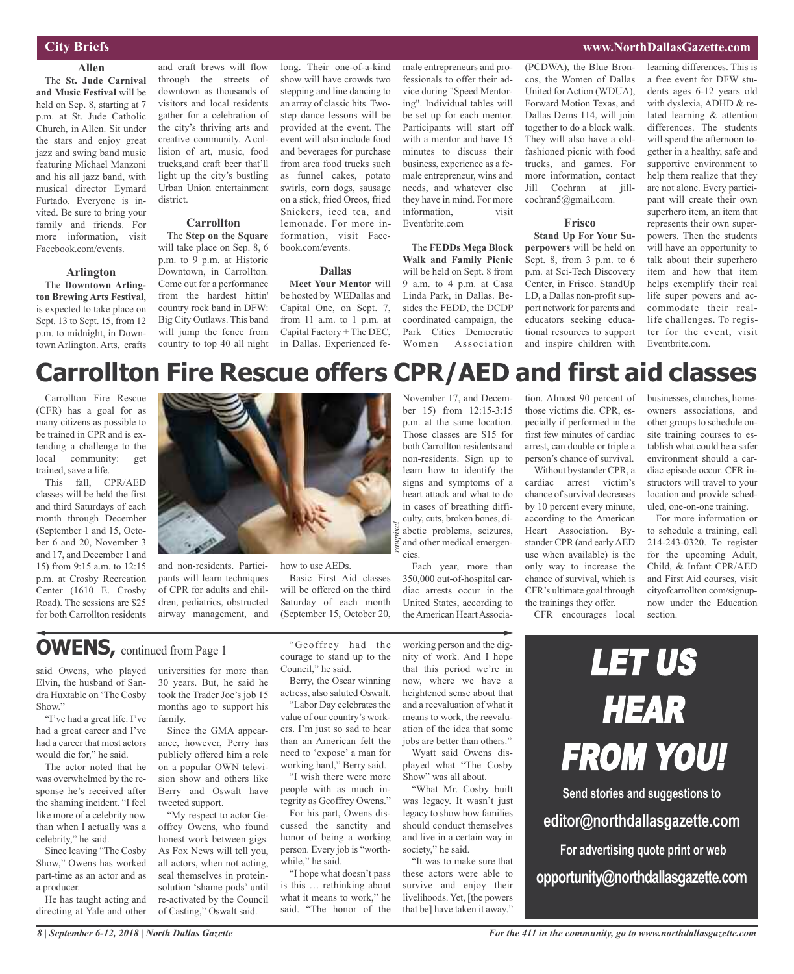### **City Briefs**

**Allen** The **St. Jude Carnival and Music Festival** will be held on Sep. 8, starting at 7 p.m. at St. Jude Catholic Church, in Allen. Sit under the stars and enjoy great jazz and swing band music featuring Michael Manzoni and his all jazz band, with musical director Eymard Furtado. Everyone is invited. Be sure to bring your family and friends. For more information, visit Facebook.com/events.

### **Arlington**

The **Downtown Arlington Brewing Arts Festival**, is expected to take place on Sept. 13 to Sept. 15, from 12 p.m. to midnight, in Downtown Arlington. Arts, crafts

and craft brews will flow through the streets of downtown as thousands of visitors and local residents gather for a celebration of the city's thriving arts and creative community. A collision of art, music, food trucks,and craft beer that'll light up the city's bustling Urban Union entertainment district.

### **Carrollton**

The **Step on the Square** will take place on Sep. 8, 6 p.m. to 9 p.m. at Historic Downtown, in Carrollton. Come out for a performance from the hardest hittin' country rock band in DFW: Big City Outlaws. This band will jump the fence from country to top 40 all night long. Their one-of-a-kind show will have crowds two stepping and line dancing to an array of classic hits. Twostep dance lessons will be provided at the event. The event will also include food and beverages for purchase from area food trucks such as funnel cakes, potato swirls, corn dogs, sausage on a stick, fried Oreos, fried Snickers, iced tea, and lemonade. For more information, visit Facebook.com/events.

#### **Dallas**

**Meet Your Mentor** will be hosted by WEDallas and Capital One, on Sept. 7, from 11 a.m. to 1 p.m. at Capital Factory + The DEC, in Dallas. Experienced female entrepreneurs and professionals to offer their advice during "Speed Mentoring". Individual tables will be set up for each mentor. Participants will start off with a mentor and have 15 minutes to discuss their business, experience as a female entrepreneur, wins and needs, and whatever else they have in mind. For more information, visit Eventbrite.com

The **FEDDs Mega Block Walk and Family Picnic** will be held on Sept. 8 from 9 a.m. to 4 p.m. at Casa Linda Park, in Dallas. Besides the FEDD, the DCDP coordinated campaign, the Park Cities Democratic Women Association

November 17, and December 15) from 12:15-3:15 p.m. at the same location. Those classes are \$15 for both Carrollton residents and non-residents. Sign up to learn how to identify the signs and symptoms of a heart attack and what to do in cases of breathing difficulty, cuts, broken bones, diabetic problems, seizures, and other medical emergen(PCDWA), the Blue Broncos, the Women of Dallas United for Action (WDUA), Forward Motion Texas, and Dallas Dems 114, will join together to do a block walk. They will also have a oldfashioned picnic with food trucks, and games. For more information, contact Jill Cochran at jillcochran5@gmail.com.

#### **Frisco**

**Stand Up For Your Superpowers** will be held on Sept. 8, from 3 p.m. to 6 p.m. at Sci-Tech Discovery Center, in Frisco. StandUp LD, a Dallas non-profit support network for parents and educators seeking educational resources to support and inspire children with

learning differences. This is a free event for DFW students ages 6-12 years old with dyslexia, ADHD & related learning & attention differences. The students will spend the afternoon together in a healthy, safe and supportive environment to help them realize that they are not alone. Every participant will create their own superhero item, an item that represents their own superpowers. Then the students will have an opportunity to talk about their superhero item and how that item helps exemplify their real life super powers and accommodate their reallife challenges. To register for the event, visit Eventbrite.com.

## **Carrollton Fire Rescue offers CPR/AED and first aid classes**

*rawpixel*

cies.

Carrollton Fire Rescue (CFR) has a goal for as many citizens as possible to be trained in CPR and is extending a challenge to the local community: get trained, save a life.

This fall, CPR/AED classes will be held the first and third Saturdays of each month through December (September 1 and 15, October 6 and 20, November 3 and 17, and December 1 and 15) from 9:15 a.m. to 12:15 p.m. at Crosby Recreation Center (1610 E. Crosby Road). The sessions are \$25 for both Carrollton residents



and non-residents. Participants will learn techniques of CPR for adults and children, pediatrics, obstructed airway management, and

how to use AEDs. Basic First Aid classes will be offered on the third Saturday of each month (September 15, October 20,

## **OWENS,** continued from Page <sup>1</sup>

said Owens, who played Elvin, the husband of Sandra Huxtable on 'The Cosby Show."

"I've had a great life. I've had a great career and I've had a career that most actors would die for," he said.

The actor noted that he was overwhelmed by the response he's received after the shaming incident. "I feel like more of a celebrity now than when I actually was a celebrity," he said.

Since leaving "The Cosby Show," Owens has worked part-time as an actor and as a producer.

He has taught acting and directing at Yale and other

universities for more than 30 years. But, he said he took the Trader Joe's job 15 months ago to support his family.

Since the GMA appearance, however, Perry has publicly offered him a role on a popular OWN television show and others like Berry and Oswalt have tweeted support.

"My respect to actor Geoffrey Owens, who found honest work between gigs. As Fox News will tell you, all actors, when not acting, seal themselves in proteinsolution 'shame pods' until re-activated by the Council of Casting," Oswalt said.

"Geoffrey had the courage to stand up to the Council," he said.

Berry, the Oscar winning actress, also saluted Oswalt.

"Labor Day celebrates the value of our country's workers. I'm just so sad to hear than an American felt the need to 'expose' a man for working hard," Berry said.

"I wish there were more people with as much integrity as Geoffrey Owens."

For his part, Owens discussed the sanctity and honor of being a working person. Every job is "worthwhile," he said.

"I hope what doesn't pass is this … rethinking about what it means to work," he said. "The honor of the

diac arrests occur in the United States, according to the American Heart Associaworking person and the dignity of work. And I hope that this period we're in now, where we have a heightened sense about that and a reevaluation of what it means to work, the reevaluation of the idea that some

Each year, more than 350,000 out-of-hospital car-

jobs are better than others." Wyatt said Owens displayed what "The Cosby Show" was all about.

"What Mr. Cosby built was legacy. It wasn't just legacy to show how families should conduct themselves and live in a certain way in society," he said.

"It was to make sure that these actors were able to survive and enjoy their livelihoods. Yet, [the powers that be] have taken it away."

tion. Almost 90 percent of those victims die. CPR, especially if performed in the first few minutes of cardiac arrest, can double or triple a person's chance of survival.

Without bystander CPR, a cardiac arrest victim's chance of survival decreases by 10 percent every minute, according to the American Heart Association. Bystander CPR (and earlyAED use when available) is the only way to increase the chance of survival, which is CFR's ultimate goal through the trainings they offer.

CFR encourages local

businesses, churches, homeowners associations, and other groups to schedule onsite training courses to establish what could be a safer environment should a cardiac episode occur. CFR instructors will travel to your location and provide scheduled, one-on-one training.

For more information or to schedule a training, call 214-243-0320. To register for the upcoming Adult, Child, & Infant CPR/AED and First Aid courses, visit cityofcarrollton.com/signupnow under the Education section.



**editor@northdallasgazette.com**

**For advertising quote print or web opportunity@northdallasgazette.com**

### **www.NorthDallasGazette.com**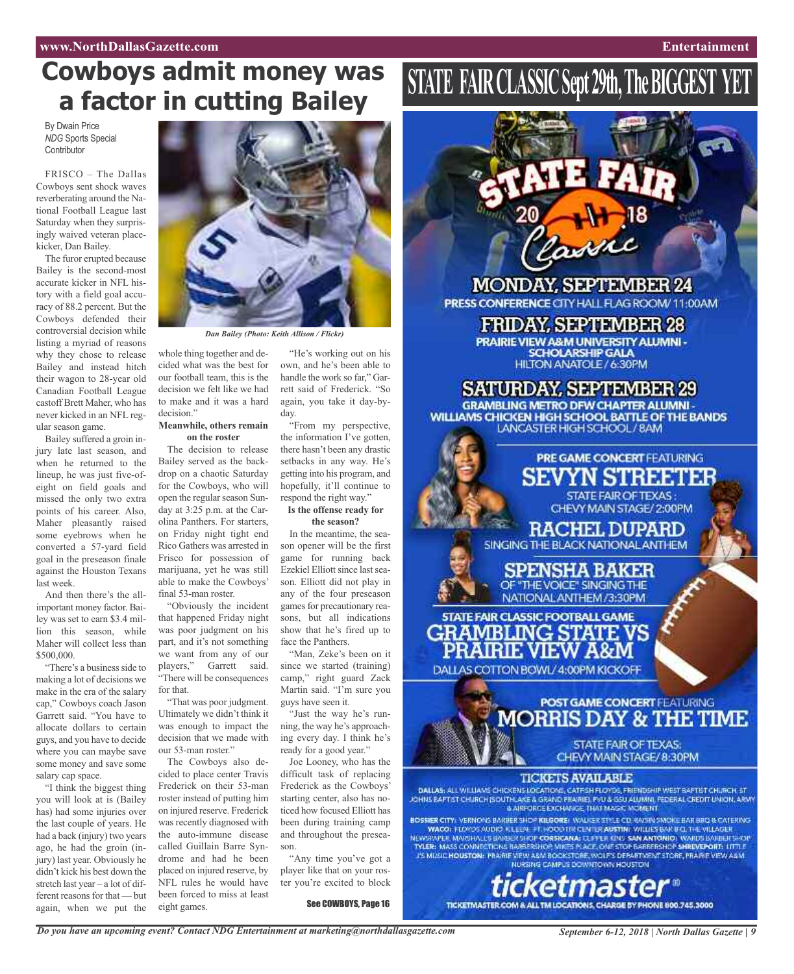## **Cowboys admit money was a factor in cutting Bailey**

By Dwain Price *NDG* Sports Special **Contributor** 

FRISCO – The Dallas Cowboys sent shock waves reverberating around the National Football League last Saturday when they surprisingly waived veteran placekicker, Dan Bailey.

The furor erupted because Bailey is the second-most accurate kicker in NFL history with a field goal accuracy of 88.2 percent. But the Cowboys defended their controversial decision while listing a myriad of reasons why they chose to release Bailey and instead hitch their wagon to 28-year old Canadian Football League castoff Brett Maher, who has never kicked in an NFL regular season game.

Bailey suffered a groin injury late last season, and when he returned to the lineup, he was just five-ofeight on field goals and missed the only two extra points of his career. Also, Maher pleasantly raised some eyebrows when he converted a 57-yard field goal in the preseason finale against the Houston Texans last week.

And then there's the allimportant money factor. Bailey was set to earn \$3.4 million this season, while Maher will collect less than \$500,000.

"There's a business side to making a lot of decisions we make in the era of the salary cap," Cowboys coach Jason Garrett said. "You have to allocate dollars to certain guys, and you have to decide where you can maybe save some money and save some salary cap space.

"I think the biggest thing you will look at is (Bailey has) had some injuries over the last couple of years. He had a back (injury) two years ago, he had the groin (injury) last year. Obviously he didn't kick his best down the stretch last year – a lot of different reasons for that — but again, when we put the



*Dan Bailey (Photo: Keith Allison / Flickr)*

whole thing together and decided what was the best for our football team, this is the decision we felt like we had to make and it was a hard decision."

### **Meanwhile, others remain on the roster**

The decision to release Bailey served as the backdrop on a chaotic Saturday for the Cowboys, who will open the regular season Sunday at 3:25 p.m. at the Carolina Panthers. For starters, on Friday night tight end Rico Gathers was arrested in Frisco for possession of marijuana, yet he was still able to make the Cowboys' final 53-man roster.

"Obviously the incident that happened Friday night was poor judgment on his part, and it's not something we want from any of our players," Garrett said. "There will be consequences for that.

"That was poor judgment. Ultimately we didn't think it was enough to impact the decision that we made with our 53-man roster."

The Cowboys also decided to place center Travis Frederick on their 53-man roster instead of putting him on injured reserve. Frederick was recently diagnosed with the auto-immune disease called Guillain Barre Syndrome and had he been placed on injured reserve, by NFL rules he would have been forced to miss at least eight games.

"He's working out on his own, and he's been able to handle the work so far," Garrett said of Frederick. "So again, you take it day-byday.

"From my perspective, the information I've gotten, there hasn't been any drastic setbacks in any way. He's getting into his program, and hopefully, it'll continue to respond the right way."

#### **Is the offense ready for the season?**

In the meantime, the season opener will be the first game for running back Ezekiel Elliott since last season. Elliott did not play in any of the four preseason games for precautionary reasons, but all indications show that he's fired up to face the Panthers.

"Man, Zeke's been on it since we started (training) camp," right guard Zack Martin said. "I'm sure you guys have seen it.

"Just the way he's running, the way he's approaching every day. I think he's ready for a good year."

Joe Looney, who has the difficult task of replacing Frederick as the Cowboys' starting center, also has noticed how focused Elliott has been during training camp and throughout the preseason.

"Any time you've got a player like that on your roster you're excited to block

See COWBOYS, Page 16

# **STATE FAIRCLASSICSept29th,TheBIGGEST YET**



PRESS CONFERENCE CITY HALL FLAG ROOM/11:00AM

**FRIDAY, SEPTEMBER 28** PRAIRIE VIEW A&M UNIVERSITY ALUMNI -**SCHOLARSHIP GALA** HILTON ANATOLE / 6:30PM

**SATURDAY, SEPTEMBER 29 GRAMBLING METRO DFW CHAPTER ALUMNI-**WILLIAMS CHICKEN HIGH SCHOOL BATTLE OF THE BANDS LANCASTER HIGH SCHOOL / BAM



*Do you have an upcoming event? Contact NDG Entertainment at marketing@northdallasgazette.com*

*September 6-12, 2018 | North Dallas Gazette | 9*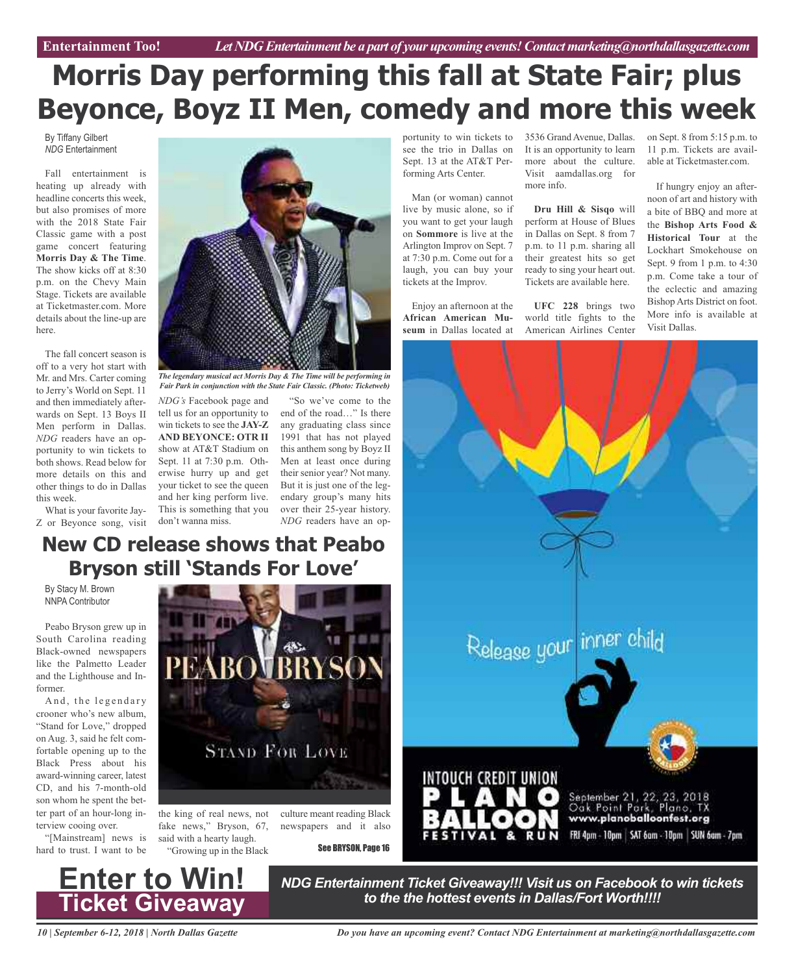## **Morris Day performing this fall at State Fair; plus Beyonce, Boyz II Men, comedy and more this week**

By Tiffany Gilbert *NDG* Entertainment

Fall entertainment is heating up already with headline concerts this week, but also promises of more with the 2018 State Fair Classic game with a post game concert featuring **Morris Day & The Time**. The show kicks off at 8:30 p.m. on the Chevy Main Stage. Tickets are available at Ticketmaster.com. More details about the line-up are here.

The fall concert season is off to a very hot start with Mr. and Mrs. Carter coming to Jerry's World on Sept. 11 and then immediately afterwards on Sept. 13 Boys II Men perform in Dallas. *NDG* readers have an opportunity to win tickets to both shows. Read below for more details on this and other things to do in Dallas this week.

What is your favorite Jay-Z or Beyonce song, visit



*The legendary musical act Morris Day & The Time will be performing in Fair Park in conjunction with the State Fair Classic. (Photo: Ticketweb)*

*NDG's* Facebook page and tell us for an opportunity to win tickets to see the **JAY-Z AND BEYONCE: OTR II** show at AT&T Stadium on Sept. 11 at 7:30 p.m. Otherwise hurry up and get your ticket to see the queen and her king perform live. This is something that you over their 25-year history. don't wanna miss.

"So we've come to the end of the road…" Is there any graduating class since 1991 that has not played this anthem song by Boyz II Men at least once during their senior year? Not many. But it is just one of the legendary group's many hits *NDG* readers have an op-

portunity to win tickets to see the trio in Dallas on Sept. 13 at the AT&T Performing Arts Center.

Man (or woman) cannot live by music alone, so if you want to get your laugh on **Sommore** is live at the Arlington Improv on Sept. 7 at 7:30 p.m. Come out for a laugh, you can buy your tickets at the Improv.

Enjoy an afternoon at the **African American Museum** in Dallas located at 3536 Grand Avenue, Dallas. It is an opportunity to learn more about the culture. Visit aamdallas.org for more info.

**Dru Hill & Sisqo** will perform at House of Blues in Dallas on Sept. 8 from 7 p.m. to 11 p.m. sharing all their greatest hits so get ready to sing your heart out. Tickets are available here.

**UFC 228** brings two world title fights to the American Airlines Center

on Sept. 8 from 5:15 p.m. to 11 p.m. Tickets are available at Ticketmaster.com.

If hungry enjoy an afternoon of art and history with a bite of BBQ and more at the **Bishop Arts Food & Historical Tour** at the Lockhart Smokehouse on Sept. 9 from 1 p.m. to 4:30 p.m. Come take a tour of the eclectic and amazing Bishop Arts District on foot. More info is available at Visit Dallas.



## **New CD release shows that Peabo Bryson still 'Stands For Love'**

By Stacy M. Brown NNPA Contributor

Peabo Bryson grew up in South Carolina reading Black-owned newspapers like the Palmetto Leader and the Lighthouse and Informer.

And, the legendary crooner who's new album, "Stand for Love," dropped on Aug. 3, said he felt comfortable opening up to the Black Press about his award-winning career, latest CD, and his 7-month-old son whom he spent the better part of an hour-long interview cooing over.

"[Mainstream] news is hard to trust. I want to be



the king of real news, not culture meant reading Black fake news," Bryson, 67, said with a hearty laugh. "Growing up in the Black

See BRYSON, Page 16

newspapers and it also

*NDG Entertainment Ticket Giveaway!!! Visit us on Facebook to win tickets to the the hottest events in Dallas/Fort Worth!!!!*

*10 | September 6-12, 2018 | North Dallas Gazette*

**Enter to Win!**

**Ticket Giveaway**

*Do you have an upcoming event? Contact NDG Entertainment at marketing@northdallasgazette.com*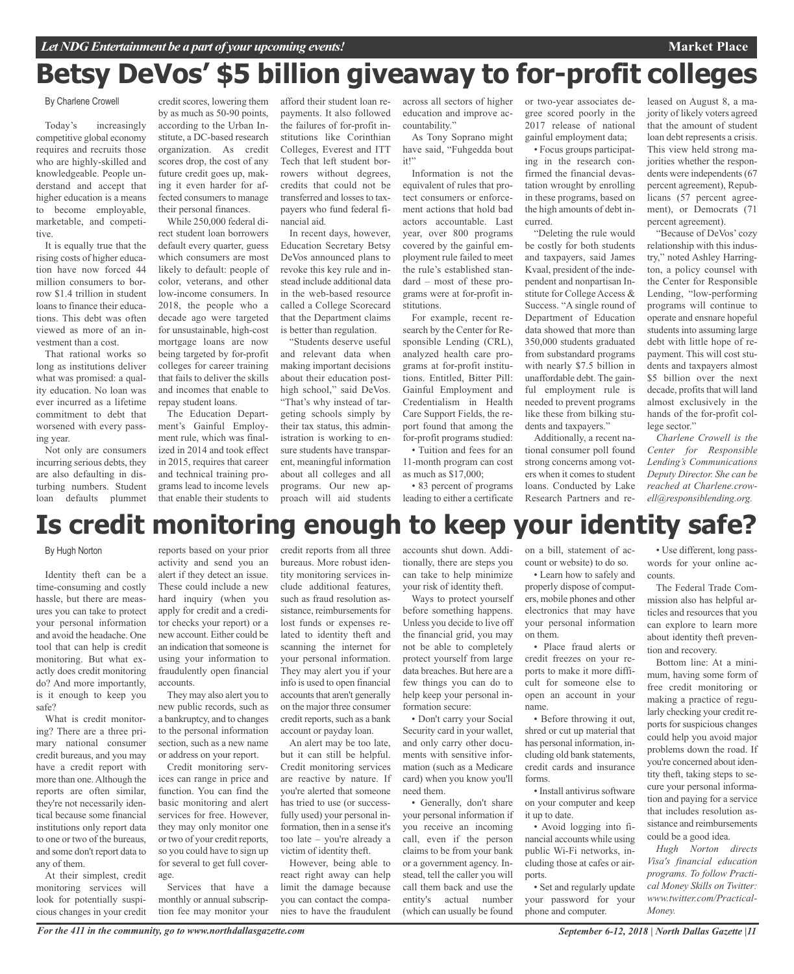## **Betsy DeVos' \$5 billion giveaway to for-profit colleges**

#### By Charlene Crowell

Today's increasingly competitive global economy requires and recruits those who are highly-skilled and knowledgeable. People understand and accept that higher education is a means to become employable, marketable, and competitive.

It is equally true that the rising costs of higher education have now forced 44 million consumers to borrow \$1.4 trillion in student loans to finance their educations. This debt was often viewed as more of an investment than a cost.

That rational works so long as institutions deliver what was promised: a quality education. No loan was ever incurred as a lifetime commitment to debt that worsened with every passing year.

Not only are consumers incurring serious debts, they are also defaulting in disturbing numbers. Student loan defaults plummet

credit scores, lowering them by as much as 50-90 points, according to the Urban Institute, a DC-based research organization. As credit scores drop, the cost of any future credit goes up, making it even harder for affected consumers to manage their personal finances. While 250,000 federal di-

rect student loan borrowers default every quarter, guess which consumers are most likely to default: people of color, veterans, and other low-income consumers. In 2018, the people who a decade ago were targeted for unsustainable, high-cost mortgage loans are now being targeted by for-profit colleges for career training that fails to deliver the skills and incomes that enable to repay student loans.

The Education Department's Gainful Employment rule, which was finalized in 2014 and took effect in 2015, requires that career and technical training programs lead to income levels that enable their students to afford their student loan repayments. It also followed the failures of for-profit institutions like Corinthian Colleges, Everest and ITT Tech that left student borrowers without degrees, credits that could not be transferred and losses to taxpayers who fund federal financial aid.

In recent days, however, Education Secretary Betsy DeVos announced plans to revoke this key rule and instead include additional data in the web-based resource called a College Scorecard that the Department claims is better than regulation.

"Students deserve useful and relevant data when making important decisions about their education posthigh school," said DeVos. "That's why instead of targeting schools simply by their tax status, this administration is working to ensure students have transparent, meaningful information about all colleges and all programs. Our new approach will aid students education and improve accountability."

As Tony Soprano might have said, "Fuhgedda bout  $it"$ 

Information is not the equivalent of rules that protect consumers or enforcement actions that hold bad actors accountable. Last year, over 800 programs covered by the gainful employment rule failed to meet the rule's established standard – most of these programs were at for-profit institutions.

For example, recent research by the Center for Responsible Lending (CRL), analyzed health care programs at for-profit institutions. Entitled, Bitter Pill: Gainful Employment and Credentialism in Health Care Support Fields, the report found that among the for-profit programs studied:

• Tuition and fees for an 11-month program can cost as much as \$17,000;

• 83 percent of programs leading to either a certificate

across all sectors of higher or two-year associates degree scored poorly in the 2017 release of national gainful employment data;

> • Focus groups participating in the research confirmed the financial devastation wrought by enrolling in these programs, based on the high amounts of debt incurred.

> "Deleting the rule would be costly for both students and taxpayers, said James Kvaal, president of the independent and nonpartisan Institute for College Access & Success. "A single round of Department of Education data showed that more than 350,000 students graduated from substandard programs with nearly \$7.5 billion in unaffordable debt. The gainful employment rule is needed to prevent programs like these from bilking students and taxpayers."

Additionally, a recent national consumer poll found strong concerns among voters when it comes to student loans. Conducted by Lake Research Partners and released on August 8, a majority of likely voters agreed that the amount of student loan debt represents a crisis. This view held strong majorities whether the respondents were independents (67 percent agreement), Republicans (57 percent agreement), or Democrats (71 percent agreement).

**Market Place**

"Because of DeVos' cozy relationship with this industry," noted Ashley Harrington, a policy counsel with the Center for Responsible Lending, "low-performing programs will continue to operate and ensnare hopeful students into assuming large debt with little hope of repayment. This will cost students and taxpayers almost \$5 billion over the next decade, profits that will land almost exclusively in the hands of the for-profit college sector."

*Charlene Crowell is the Center for Responsible Lending's Communications Deputy Director. She can be reached at Charlene.crowell@responsiblending.org.*

## **Is credit monitoring enough to keep your identity safe?**

#### By Hugh Norton

Identity theft can be a time-consuming and costly hassle, but there are measures you can take to protect your personal information and avoid the headache. One tool that can help is credit monitoring. But what exactly does credit monitoring do? And more importantly, is it enough to keep you safe?

What is credit monitoring? There are a three primary national consumer credit bureaus, and you may have a credit report with more than one.Although the reports are often similar, they're not necessarily identical because some financial institutions only report data to one or two of the bureaus, and some don't report data to any of them.

At their simplest, credit monitoring services will look for potentially suspicious changes in your credit

reports based on your prior activity and send you an alert if they detect an issue. These could include a new hard inquiry (when you apply for credit and a creditor checks your report) or a new account. Either could be an indication that someone is using your information to fraudulently open financial accounts.

They may also alert you to new public records, such as a bankruptcy, and to changes to the personal information section, such as a new name or address on your report.

Credit monitoring services can range in price and function. You can find the basic monitoring and alert services for free. However, they may only monitor one or two of your credit reports, so you could have to sign up for several to get full coverage.

Services that have a monthly or annual subscription fee may monitor your

credit reports from all three bureaus. More robust identity monitoring services include additional features, such as fraud resolution assistance, reimbursements for lost funds or expenses related to identity theft and scanning the internet for your personal information. They may alert you if your info is used to open financial accounts that aren't generally on the major three consumer credit reports, such as a bank account or payday loan.

An alert may be too late, but it can still be helpful. Credit monitoring services are reactive by nature. If you're alerted that someone has tried to use (or successfully used) your personal information, then in a sense it's too late – you're already a victim of identity theft.

However, being able to react right away can help limit the damage because you can contact the companies to have the fraudulent accounts shut down. Additionally, there are steps you can take to help minimize your risk of identity theft.

Ways to protect yourself before something happens. Unless you decide to live off the financial grid, you may not be able to completely protect yourself from large data breaches. But here are a few things you can do to help keep your personal information secure:

• Don't carry your Social Security card in your wallet, and only carry other documents with sensitive information (such as a Medicare card) when you know you'll need them.

• Generally, don't share your personal information if you receive an incoming call, even if the person claims to be from your bank or a government agency. Instead, tell the caller you will call them back and use the entity's actual number (which can usually be found

on a bill, statement of account or website) to do so.

• Learn how to safely and properly dispose of computers, mobile phones and other electronics that may have your personal information on them.

• Place fraud alerts or credit freezes on your reports to make it more difficult for someone else to open an account in your name.

• Before throwing it out, shred or cut up material that has personal information, including old bank statements, credit cards and insurance forms.

• Install antivirus software on your computer and keep it up to date.

• Avoid logging into financial accounts while using public Wi-Fi networks, including those at cafes or airports.

• Set and regularly update your password for your phone and computer.

• Use different, long passwords for your online accounts.

The Federal Trade Commission also has helpful articles and resources that you can explore to learn more about identity theft prevention and recovery.

Bottom line: At a minimum, having some form of free credit monitoring or making a practice of regularly checking your credit reports for suspicious changes could help you avoid major problems down the road. If you're concerned about identity theft, taking steps to secure your personal information and paying for a service that includes resolution assistance and reimbursements could be a good idea.

*Hugh Norton directs Visa's financial education programs. To follow Practical Money Skills on Twitter: www.twitter.com/Practical-Money.*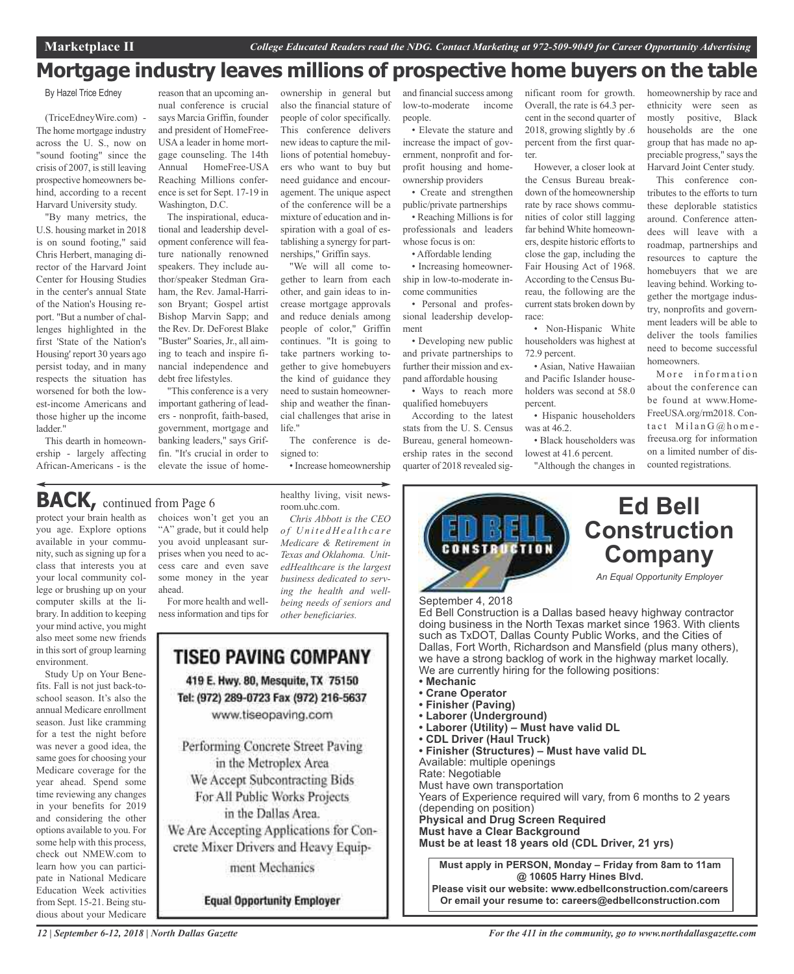### **Mortgage industry leaves millions of prospective home buyers on the table**

By Hazel Trice Edney

(TriceEdneyWire.com) - The home mortgage industry across the U. S., now on "sound footing" since the crisis of 2007, is still leaving prospective homeowners behind, according to a recent Harvard University study.

"By many metrics, the U.S. housing market in 2018 is on sound footing," said Chris Herbert, managing director of the Harvard Joint Center for Housing Studies in the center's annual State of the Nation's Housing report. "But a number of challenges highlighted in the first 'State of the Nation's Housing' report 30 years ago persist today, and in many respects the situation has worsened for both the lowest-income Americans and those higher up the income ladder."

This dearth in homeownership - largely affecting African-Americans - is the

reason that an upcoming annual conference is crucial says Marcia Griffin, founder and president of HomeFree-USA a leader in home mortgage counseling. The 14th Annual HomeFree-USA Reaching Millions conference is set for Sept. 17-19 in Washington, D.C.

The inspirational, educational and leadership development conference will feature nationally renowned speakers. They include author/speaker Stedman Graham, the Rev. Jamal-Harrison Bryant; Gospel artist Bishop Marvin Sapp; and the Rev. Dr. DeForest Blake "Buster" Soaries, Jr., all aiming to teach and inspire financial independence and debt free lifestyles.

"This conference is a very important gathering of leaders - nonprofit, faith-based, government, mortgage and banking leaders," says Griffin. "It's crucial in order to elevate the issue of home-

ownership in general but also the financial stature of people of color specifically. This conference delivers new ideasto capture the millions of potential homebuyers who want to buy but need guidance and encouragement. The unique aspect of the conference will be a mixture of education and inspiration with a goal of establishing a synergy for partnerships," Griffin says.

"We will all come together to learn from each other, and gain ideas to increase mortgage approvals and reduce denials among people of color," Griffin continues. "It is going to take partners working together to give homebuyers the kind of guidance they need to sustain homeownership and weather the financial challenges that arise in life."

The conference is designed to:

healthy living, visit news-

*Chris Abbott is the CEO o f U n i t e d H e a l t h c a r e Medicare & Retirement in Texas and Oklahoma. UnitedHealthcare is the largest business dedicated to serving the health and wellbeing needs of seniors and*

room.uhc.com.

*other beneficiaries.*

• Increase homeownership

**BACK**, continued from Page 6

protect your brain health as you age. Explore options available in your community, such as signing up for a class that interests you at your local community college or brushing up on your computer skills at the library. In addition to keeping your mind active, you might also meet some new friends in this sort of group learning environment.

Study Up on Your Benefits. Fall is not just back-toschool season. It's also the annual Medicare enrollment season. Just like cramming for a test the night before was never a good idea, the same goes for choosing your Medicare coverage for the year ahead. Spend some time reviewing any changes in your benefits for 2019 and considering the other options available to you. For some help with this process, check out NMEW.com to learn how you can participate in National Medicare Education Week activities from Sept. 15-21. Being studious about your Medicare

# choices won't get you an

"A" grade, but it could help you avoid unpleasant surprises when you need to access care and even save some money in the year ahead.

For more health and wellness information and tips for



ment Mechanics

**Equal Opportunity Employer** 

and financial success among low-to-moderate income people.

• Elevate the stature and increase the impact of government, nonprofit and forprofit housing and homeownership providers

• Create and strengthen public/private partnerships • Reaching Millions is for professionals and leaders whose focus is on:

• Affordable lending

• Increasing homeownership in low-to-moderate income communities • Personal and profes-

sional leadership development • Developing new public and private partnerships to

further their mission and expand affordable housing • Ways to reach more

qualified homebuyers According to the latest stats from the U. S. Census Bureau, general homeownership rates in the second quarter of 2018 revealed significant room for growth. Overall, the rate is 64.3 percent in the second quarter of 2018, growing slightly by .6 percent from the first quarter.

However, a closer look at the Census Bureau breakdown of the homeownership rate by race shows communities of color still lagging far behind White homeowners, despite historic efforts to close the gap, including the Fair Housing Act of 1968. According to the Census Bureau, the following are the current stats broken down by race:

• Non-Hispanic White householders was highest at 72.9 percent.

• Asian, Native Hawaiian and Pacific Islander householders was second at 58.0 percent.

• Hispanic householders was at 46.2.

• Black householders was lowest at 41.6 percent.

"Although the changes in



This conference contributes to the efforts to turn these deplorable statistics around. Conference attendees will leave with a roadmap, partnerships and resources to capture the homebuyers that we are leaving behind. Working together the mortgage industry, nonprofits and government leaders will be able to deliver the tools families need to become successful homeowners.

More information about the conference can be found at www.Home-FreeUSA.org/rm2018. Contact  $M$ ilan G $@$ homefreeusa.org for information on a limited number of discounted registrations.



Rate: Negotiable Must have own transportation Years of Experience required will vary, from 6 months to 2 years (depending on position) **Physical and Drug Screen Required Must have a Clear Background Must be at least 18 years old (CDL Driver, 21 yrs)**

**Must apply in PERSON, Monday – Friday from 8am to 11am @ 10605 Harry Hines Blvd. Please visit our website: www.edbellconstruction.com/careers Or email your resume to: careers@edbellconstruction.com**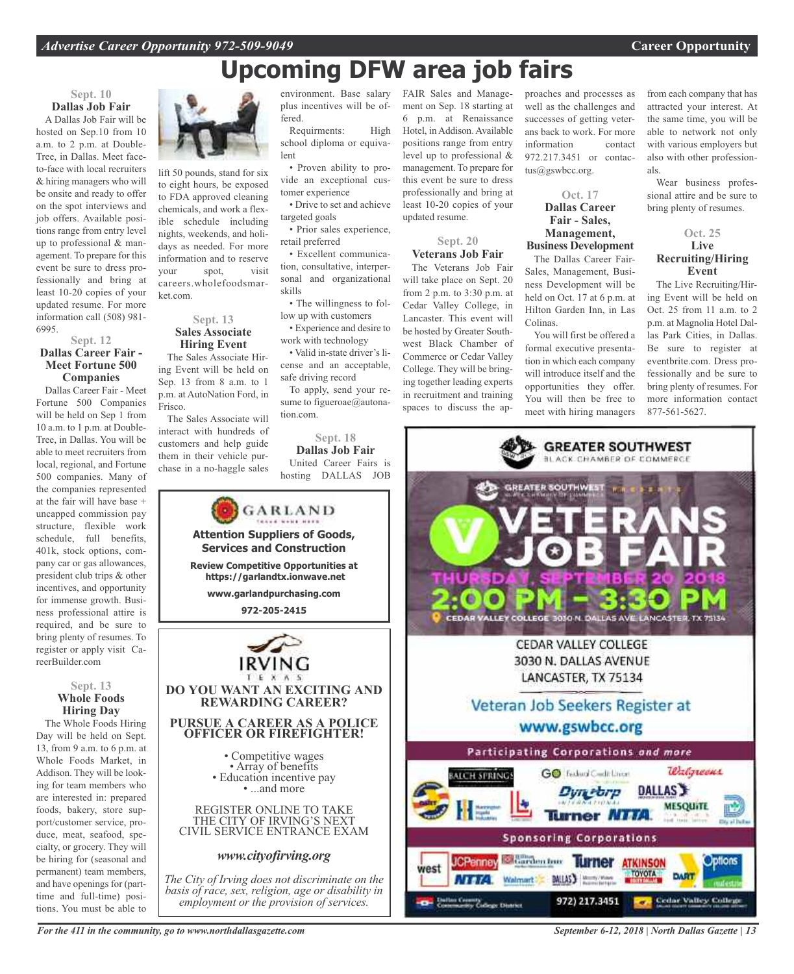## **Upcoming DFW area job fairs**

### **Sept. 10 Dallas Job Fair**

A Dallas Job Fair will be hosted on Sep.10 from 10 a.m. to 2 p.m. at Double-Tree, in Dallas. Meet faceto-face with local recruiters & hiring managers who will be onsite and ready to offer on the spot interviews and job offers. Available positions range from entry level up to professional & management. To prepare for this event be sure to dress professionally and bring at least 10-20 copies of your updated resume. For more information call (508) 981- 6995.

### **Sept. 12 Dallas Career Fair - Meet Fortune 500 Companies**

Dallas Career Fair - Meet Fortune 500 Companies will be held on Sep 1 from 10 a.m. to 1 p.m. at Double-Tree, in Dallas. You will be able to meet recruiters from local, regional, and Fortune 500 companies. Many of the companies represented at the fair will have base + uncapped commission pay structure, flexible work schedule, full benefits, 401k, stock options, company car or gas allowances, president club trips & other incentives, and opportunity for immense growth. Business professional attire is required, and be sure to bring plenty of resumes. To register or apply visit CareerBuilder.com

#### **Sept. 13 Whole Foods Hiring Day**

The Whole Foods Hiring Day will be held on Sept. 13, from 9 a.m. to 6 p.m. at Whole Foods Market, in Addison. They will be looking for team members who are interested in: prepared foods, bakery, store support/customer service, produce, meat, seafood, specialty, or grocery. They will be hiring for (seasonal and permanent) team members, and have openings for (parttime and full-time) positions. You must be able to

![](_page_12_Picture_8.jpeg)

fered.

lent

tomer experience

• Prior sales experience,

• Excellent communication, consultative, interpersonal and organizational

• The willingness to follow up with customers • Experience and desire to

To apply, send your resume to figueroae@autona-

**Sept. 18 Dallas Job Fair** United Career Fairs is hosting DALLAS JOB

work with technology • Valid in-state driver's license and an acceptable,

safe driving record

tion.com.

targeted goals

retail preferred

skills

lift 50 pounds, stand for six to eight hours, be exposed to FDA approved cleaning chemicals, and work a flexible schedule including nights, weekends, and holidays as needed. For more information and to reserve your spot, visit careers.wholefoodsmarket.com.

#### **Sept. 13 Sales Associate Hiring Event**

The Sales Associate Hiring Event will be held on Sep. 13 from 8 a.m. to 1 p.m. at AutoNation Ford, in Frisco.

The Sales Associate will interact with hundreds of customers and help guide them in their vehicle purchase in a no-haggle sales

GARLAND **Attention Suppliers of Goods, Services and Construction Review Competitive Opportunities at https://garlandtx.ionwave.net www.garlandpurchasing.com 972-205-2415 DO YOU WANT AN EXCITING AND REWARDING CAREER? PURSUE A CAREER AS A POLICE OFFICER OR FIREFIGHTER!** • Competitive wages<br>• Array of benefits<br>• Education incentive pay<br>• ...and more REGISTER ONLINE TO TAKE THE CITY OF IRVING'S NEXT CIVIL SERVICE ENTRANCE EXAM *www.cityofirving.org The City of Irving does not discriminate on the basis of race, sex, religion, age or disability in*

*employment or the provision of services.*

environment. Base salary FAIR Sales and Manageplus incentives will be of-Requirments: High school diploma or equiva-• Proven ability to provide an exceptional cus-• Drive to set and achieve ment on Sep. 18 starting at 6 p.m. at Renaissance Hotel, in Addison. Available positions range from entry level up to professional & management. To prepare for this event be sure to dress professionally and bring at least 10-20 copies of your

updated resume.

### **Sept. 20 Veterans Job Fair**

The Veterans Job Fair will take place on Sept. 20 from 2 p.m. to 3:30 p.m. at Cedar Valley College, in Lancaster. This event will be hosted by Greater Southwest Black Chamber of Commerce or Cedar Valley College. They will be bringing together leading experts in recruitment and training spaces to discuss the approaches and processes as well as the challenges and successes of getting veterans back to work. For more information contact 972.217.3451 or contactus@gswbcc.org.

### **Oct. 17 Dallas Career Fair - Sales, Management, Business Development**

The Dallas Career Fair-Sales, Management, Business Development will be held on Oct. 17 at 6 p.m. at Hilton Garden Inn, in Las Colinas.

You will first be offered a formal executive presentation in which each company will introduce itself and the opportunities they offer. You will then be free to meet with hiring managers

from each company that has attracted your interest. At the same time, you will be able to network not only with various employers but also with other professionals.

Wear business professional attire and be sure to bring plenty of resumes.

### **Oct. 25 Live Recruiting/Hiring Event**

The Live Recruiting/Hiring Event will be held on Oct. 25 from 11 a.m. to 2 p.m. at Magnolia Hotel Dallas Park Cities, in Dallas. Be sure to register at eventbrite.com. Dress professionally and be sure to bring plenty of resumes. For more information contact 877-561-5627.

![](_page_12_Picture_25.jpeg)

*September 6-12, 2018 | North Dallas Gazette | 13*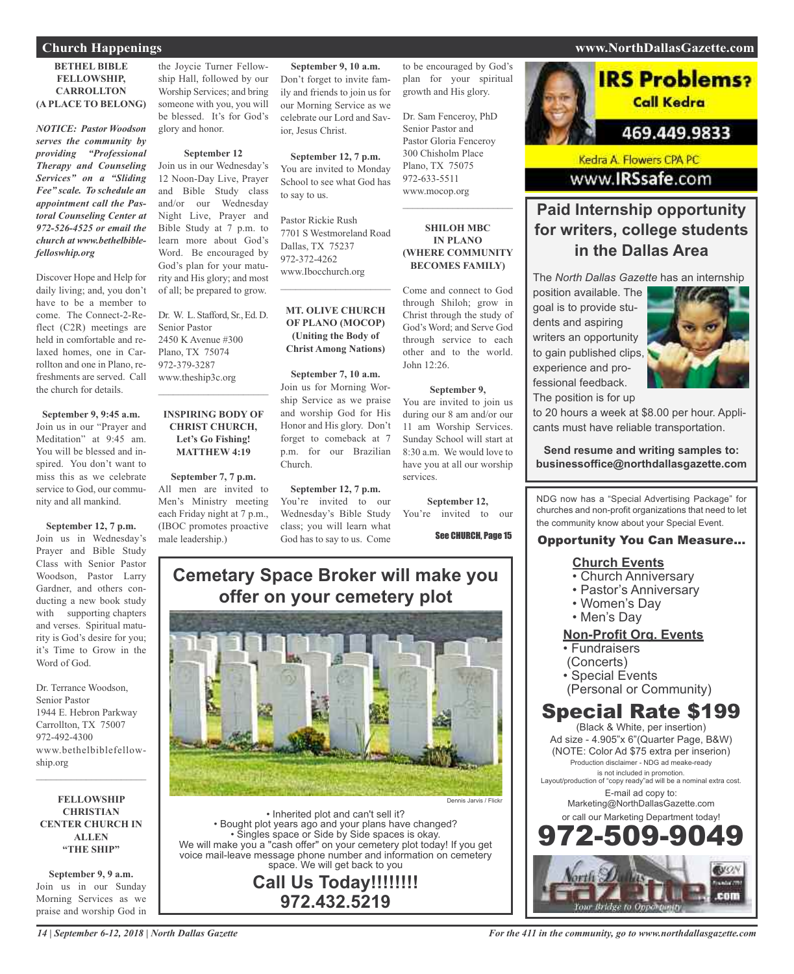### **BETHEL BIBLE FELLOWSHIP, CARROLLTON (A PLACE TO BELONG)**

*NOTICE: Pastor Woodson serves the community by providing "Professional Therapy and Counseling Services" on a "Sliding Fee" scale. To schedule an appointment call the Pastoral Counseling Center at 972-526-4525 or email the church at www.bethelbiblefelloswhip.org*

Discover Hope and Help for daily living; and, you don't have to be a member to come. The Connect-2-Reflect (C2R) meetings are held in comfortable and relaxed homes, one in Carrollton and one in Plano, refreshments are served. Call the church for details.

**September 9, 9:45 a.m.** Join us in our "Prayer and Meditation" at 9:45 am. You will be blessed and inspired. You don't want to miss this as we celebrate service to God, our community and all mankind.

**September 12, 7 p.m.** Join us in Wednesday's Prayer and Bible Study Class with Senior Pastor Woodson, Pastor Larry Gardner, and others conducting a new book study with supporting chapters and verses. Spiritual maturity is God's desire for you; it's Time to Grow in the Word of God.

Dr. Terrance Woodson, Senior Pastor 1944 E. Hebron Parkway Carrollton, TX 75007 972-492-4300 www.bethelbiblefellowship.org

**FELLOWSHIP CHRISTIAN CENTER CHURCH IN ALLEN "THE SHIP"**

 $\mathcal{L}_\text{max}$  and  $\mathcal{L}_\text{max}$  and  $\mathcal{L}_\text{max}$ 

**September 9, 9 a.m.** Join us in our Sunday Morning Services as we praise and worship God in the Joycie Turner Fellowship Hall, followed by our Worship Services; and bring someone with you, you will be blessed. It's for God's glory and honor.

#### **September 12**

Join us in our Wednesday's 12 Noon-Day Live, Prayer and Bible Study class and/or our Wednesday Night Live, Prayer and Bible Study at 7 p.m. to learn more about God's Word. Be encouraged by God's plan for your maturity and His glory; and most of all; be prepared to grow.

Dr. W. L. Stafford, Sr., Ed. D. Senior Pastor 2450 K Avenue #300 Plano, TX 75074 972-379-3287 www.theship3c.org  $\overline{\phantom{a}}$  , and the set of the set of the set of the set of the set of the set of the set of the set of the set of the set of the set of the set of the set of the set of the set of the set of the set of the set of the s

### **INSPIRING BODY OF CHRIST CHURCH, Let's Go Fishing! MATTHEW 4:19**

**September 7, 7 p.m.** All men are invited to Men's Ministry meeting each Friday night at 7 p.m., (IBOC promotes proactive male leadership.)

**September 9, 10 a.m.** Don't forget to invite family and friends to join us for our Morning Service as we celebrate our Lord and Savior, Jesus Christ.

**September 12, 7 p.m.** You are invited to Monday School to see what God has to say to us.

Pastor Rickie Rush 7701 S Westmoreland Road Dallas, TX 75237 972-372-4262 www.Ibocchurch.org

### **MT. OLIVE CHURCH OF PLANO (MOCOP) (Uniting the Body of Christ Among Nations)**

 $\mathcal{L}=\mathcal{L}^{\mathcal{L}}$  , where  $\mathcal{L}^{\mathcal{L}}$  , we have the set of the set of the set of the set of the set of the set of the set of the set of the set of the set of the set of the set of the set of the set of the set of

**September 7, 10 a.m.** Join us for Morning Worship Service as we praise and worship God for His Honor and His glory. Don't forget to comeback at 7 p.m. for our Brazilian Church.

**September 12, 7 p.m.** You're invited to our Wednesday's Bible Study class; you will learn what God has to say to us. Come

to be encouraged by God's plan for your spiritual growth and His glory.

Dr. Sam Fenceroy, PhD Senior Pastor and Pastor Gloria Fenceroy 300 Chisholm Place Plano, TX 75075 972-633-5511 www.mocop.org  $\mathcal{L}$  , and the set of the set of the set of the set of the set of the set of the set of the set of the set of the set of the set of the set of the set of the set of the set of the set of the set of the set of the set

### **SHILOH MBC IN PLANO (WHERE COMMUNITY BECOMES FAMILY)**

Come and connect to God through Shiloh; grow in Christ through the study of God's Word; and Serve God through service to each other and to the world. John 12:26.

### **September 9,**

You are invited to join us during our 8 am and/or our 11 am Worship Services. Sunday School will start at 8:30 a.m. We would love to have you at all our worship services.

**September 12,** You're invited to our

See CHURCH, Page 15

### **Cemetary Space Broker will make you offer on your cemetery plot**

![](_page_13_Picture_30.jpeg)

• Inherited plot and can't sell it? • Bought plot years ago and your plans have changed? • Singles space or Side by Side spaces is okay. We will make you a "cash offer" on your cemetery plot today! If you get voice mail-leave message phone number and information on cemetery space. We will get back to you

**Call Us Today!!!!!!!! 972.432.5219**

# **IRS Problems?** Call Kedra

469.449.9833

Kedra A. Flowers CPA PC www.IRSsafe.com

### **Paid Internship opportunity for writers, college students in the Dallas Area**

The *North Dallas Gazette* has an internship

position available. The goal is to provide students and aspiring writers an opportunity to gain published clips, experience and professional feedback. The position is for up

![](_page_13_Picture_39.jpeg)

to 20 hours a week at \$8.00 per hour. Applicants must have reliable transportation.

**Send resume and writing samples to: businessoffice@northdallasgazette.com**

NDG now has a "Special Advertising Package" for churches and non-profit organizations that need to let the community know about your Special Event.

### Opportunity You Can Measure...

### **Church Events**

- Church Anniversary
- Pastor's Anniversary
- Women's Day
- Men's Day

### **Non-Profit Org. Events**

- Fundraisers
- (Concerts)
- Special Events
- (Personal or Community)

### Special Rate \$199

(Black & White, per insertion) Ad size - 4.905"x 6"(Quarter Page, B&W) (NOTE: Color Ad \$75 extra per inserion) Production disclaimer - NDG ad meake-ready is not included in promotion. Layout/production of "copy ready"ad will be a nominal extra cost. E-mail ad copy to: Marketing@NorthDallasGazette.com or call our Marketing Department today! 972-509-9049

![](_page_13_Picture_56.jpeg)

### **Church Happenings www.NorthDallasGazette.com**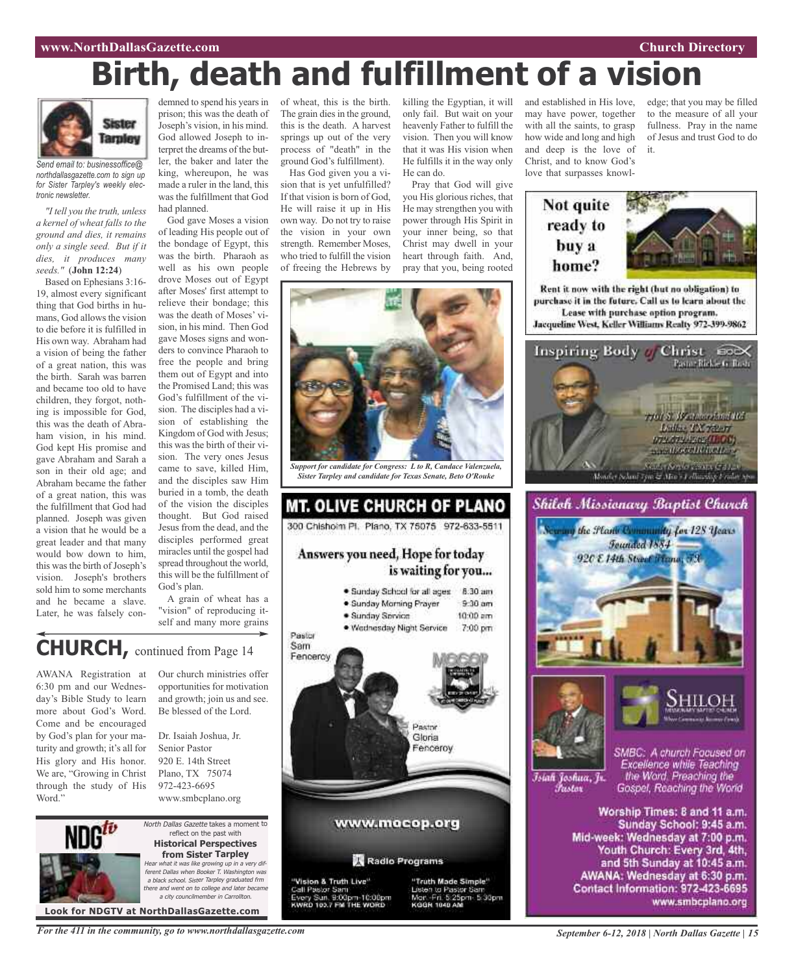### **www.NorthDallasGazette.com Church Directory**

# **Birth, death and fulfillment of a vision**

![](_page_14_Picture_2.jpeg)

*Send email to: businessoffice@ northdallasgazette.com to sign up for Sister Tarpley's weekly electronic newsletter.*

*"I tell you the truth, unless a kernel of wheat falls to the ground and dies, it remains only a single seed. But if it dies, it produces many seeds."* (**John 12:24**)

Based on Ephesians 3:16- 19, almost every significant thing that God births in humans, God allows the vision to die before it is fulfilled in His own way. Abraham had a vision of being the father of a great nation, this was the birth. Sarah was barren and became too old to have children, they forgot, nothing is impossible for God, this was the death of Abraham vision, in his mind. God kept His promise and gave Abraham and Sarah a son in their old age; and Abraham became the father of a great nation, this was the fulfillment that God had planned. Joseph was given a vision that he would be a great leader and that many would bow down to him, this was the birth of Joseph's vision. Joseph's brothers sold him to some merchants and he became a slave. Later, he was falsely con-

prison; this was the death of Joseph's vision, in his mind. God allowed Joseph to interpret the dreams of the butler, the baker and later the king, whereupon, he was made a ruler in the land, this was the fulfillment that God had planned.

God gave Moses a vision of leading His people out of the bondage of Egypt, this was the birth. Pharaoh as well as his own people drove Moses out of Egypt after Moses' first attempt to relieve their bondage; this was the death of Moses' vision, in his mind. Then God gave Moses signs and wonders to convince Pharaoh to free the people and bring them out of Egypt and into the Promised Land; this was God's fulfillment of the vision. The disciples had a vision of establishing the Kingdom of God with Jesus; this was the birth of their vision. The very ones Jesus came to save, killed Him, and the disciples saw Him buried in a tomb, the death of the vision the disciples thought. But God raised Jesus from the dead, and the disciples performed great miracles until the gospel had spread throughout the world, this will be the fulfillment of God's plan.

A grain of wheat has a "vision" of reproducing itself and many more grains

### **CHURCH,** continued from Page <sup>14</sup>

AWANA Registration at 6:30 pm and our Wednesday's Bible Study to learn more about God's Word. Come and be encouraged by God's plan for your maturity and growth; it's all for His glory and His honor. We are, "Growing in Christ through the study of His Word."

Our church ministries offer opportunities for motivation and growth; join us and see. Be blessed of the Lord.

Dr. Isaiah Joshua, Jr. Senior Pastor 920 E. 14th Street Plano, TX 75074 972-423-6695 www.smbcplano.org

![](_page_14_Picture_13.jpeg)

North Dallas Gazette takes a moment to reflect on the past with **Historical Perspectives from Sister Tarpley** Hear what it was like growing up in <sup>a</sup> very different Dallas when Booker T. Washington was <sup>a</sup> black school. Sister Tarpley graduated frm there and went on to college and later became a city councilmember in Carroll

**Look for NDGTV at NorthDallasGazette.com**

demned to spend his years in of wheat, this is the birth. The grain dies in the ground, this is the death. A harvest springs up out of the very process of "death" in the ground God's fulfillment).

Has God given you a vision that is yet unfulfilled? If that vision is born of God, He will raise it up in His own way. Do not try to raise the vision in your own strength. Remember Moses, who tried to fulfill the vision of freeing the Hebrews by

killing the Egyptian, it will only fail. But wait on your heavenly Father to fulfill the vision. Then you will know that it was His vision when He fulfills it in the way only He can do.

you His glorious riches, that He may strengthen you with power through His Spirit in your inner being, so that Christ may dwell in your heart through faith. And, pray that you, being rooted

![](_page_14_Picture_20.jpeg)

*Support for candidate for Congress: L to R, Candace Valenzuela, Sister Tarpley and candidate for Texas Senate, Beto O'Rouke*

### **MT. OLIVE CHURCH OF PLANO** 300 Chishoim Pl. Plano, TX 75075 972-633-5511 Answers you need, Hope for today is waiting for you... · Sunday School for all ages 8:30 am · Sunday Morning Prayer  $9:30$  am  $10:00$  am · Sunday Service · Wednesday Night Service 7:00 pm Pastor Sam Fencercy Pastor Gloria Fenceroy www.mocop.org Radio Programs "Vision & Truth Live"<br>Call Pastor Sam<br>Every Sun, 9:00pm-10:00pm<br>KWRD 103.7 FM THE WORD "Truth Made Simple" Listen to Pastor San

Mar. Fri. 5:25pm. 5:30pm

Pray that God will give

and established in His love, may have power, together with all the saints, to grasp how wide and long and high and deep is the love of Christ, and to know God's love that surpasses knowl-

### Not quite ready to buy a home?

![](_page_14_Picture_27.jpeg)

edge; that you may be filled to the measure of all your fullness. Pray in the name of Jesus and trust God to do

Rent it now with the right (but no obligation) to purchase it in the future. Call us to learn about the Lease with purchase option program. Jacqueline West, Keller Williams Realty 972-399-9862

it.

![](_page_14_Picture_29.jpeg)

![](_page_14_Picture_30.jpeg)

![](_page_14_Picture_31.jpeg)

![](_page_14_Picture_32.jpeg)

Īsiah Joshua, Jr. Fustor

SMBC: A church Focused on Excellence while Teaching the Word. Preaching the Gospel, Reaching the World

Worship Times: 8 and 11 a.m. Sunday School: 9:45 a.m. Mid-week: Wednesday at 7:00 p.m. Youth Church: Every 3rd, 4th, and 5th Sunday at 10:45 a.m. AWANA: Wednesday at 6:30 p.m. Contact Information: 972-423-6695 www.smbcplano.org

*For the 411 in the community, go to www.northdallasgazette.com*